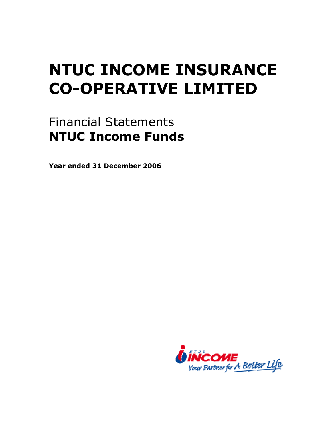# NTUC INCOME INSURANCE CO-OPERATIVE LIMITED

## Financial Statements NTUC Income Funds

Year ended 31 December 2006

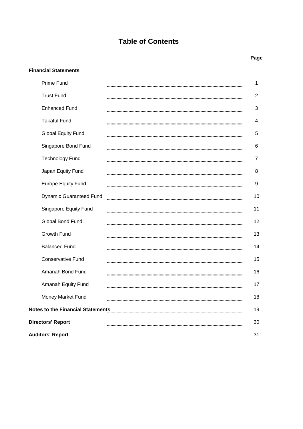## **Table of Contents**

## **Page**

## **Financial Statements**

| Prime Fund                               | 1              |
|------------------------------------------|----------------|
| <b>Trust Fund</b>                        | $\overline{2}$ |
| <b>Enhanced Fund</b>                     | 3              |
| <b>Takaful Fund</b>                      | 4              |
| <b>Global Equity Fund</b>                | 5              |
| Singapore Bond Fund                      | $\,6$          |
| <b>Technology Fund</b>                   | $\overline{7}$ |
| Japan Equity Fund                        | 8              |
| <b>Europe Equity Fund</b>                | 9              |
| <b>Dynamic Guaranteed Fund</b>           | 10             |
| Singapore Equity Fund                    | 11             |
| Global Bond Fund                         | 12             |
| Growth Fund                              | 13             |
| <b>Balanced Fund</b>                     | 14             |
| <b>Conservative Fund</b>                 | 15             |
| Amanah Bond Fund                         | 16             |
| Amanah Equity Fund                       | 17             |
| Money Market Fund                        | 18             |
| <b>Notes to the Financial Statements</b> | 19             |
| <b>Directors' Report</b>                 | 30             |
| <b>Auditors' Report</b>                  | 31             |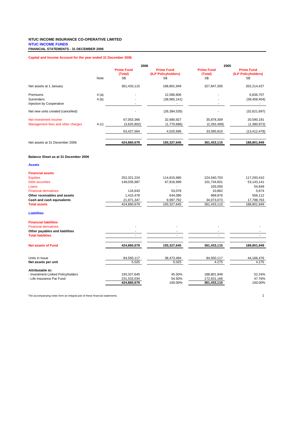#### **Capital and Income Account for the year ended 31 December 2006**

|                                                                |              | 2006                                      |                                                 | 2005                                      |                                                 |  |
|----------------------------------------------------------------|--------------|-------------------------------------------|-------------------------------------------------|-------------------------------------------|-------------------------------------------------|--|
|                                                                | Note         | <b>Prime Fund</b><br>(Total)<br>S\$       | <b>Prime Fund</b><br>(ILP Policyholders)<br>S\$ | <b>Prime Fund</b><br>(Total)<br>S\$       | <b>Prime Fund</b><br>(ILP Policyholders)<br>S\$ |  |
| Net assets at 1 January                                        |              | 361,433,115                               | 188,801,949                                     | 327,847,305                               | 202,214,427                                     |  |
| Premiums<br>Surrenders<br>Injection by Cooperative             | 4(a)<br>4(b) |                                           | 12,580,606<br>(38,965,141)                      |                                           | 6,836,707<br>(39, 458, 404)                     |  |
| Net new units created (cancelled)                              |              |                                           | (26, 384, 535)                                  |                                           | (32,621,697)                                    |  |
| Net investment income<br>Management fees and other charges     | 4(c)         | 67,053,366<br>(3,625,802)                 | 32,680,927<br>(1,770,696)                       | 35,878,309<br>(2,292,499)                 | 20,590,191<br>(1,380,972)                       |  |
|                                                                |              | 63,427,564                                | 4,525,696                                       | 33,585,810                                | (13, 412, 478)                                  |  |
| Net assets at 31 December 2006                                 |              | 424,860,679                               | 193,327,645                                     | 361,433,115                               | 188,801,949                                     |  |
| Balance Sheet as at 31 December 2006                           |              |                                           |                                                 |                                           |                                                 |  |
| <b>Assets</b>                                                  |              |                                           |                                                 |                                           |                                                 |  |
| <b>Financial assets</b>                                        |              |                                           |                                                 |                                           |                                                 |  |
| <b>Equities</b><br><b>Debt securities</b><br>Loans             |              | 252,321,224<br>149,035,987                | 114,815,680<br>67,816,999                       | 224,540,703<br>101,734,601<br>105,000     | 117,293,410<br>53,143,141<br>54,849             |  |
| <b>Financial derivatives</b><br>Other receivables and assets   |              | 116,643<br>1,415,478                      | 53,078<br>644,096                               | 10,862<br>968,876                         | 5,674<br>506,112                                |  |
| Cash and cash equivalents<br><b>Total assets</b>               |              | 21,971,347<br>424,860,679                 | 9,997,792<br>193,327,645                        | 34,073,073<br>361,433,115                 | 17,798,763<br>188,801,949                       |  |
| <b>Liabilities</b>                                             |              |                                           |                                                 |                                           |                                                 |  |
| <b>Financial liabilities</b><br><b>Financial derivatives</b>   |              |                                           |                                                 |                                           |                                                 |  |
| Other payables and liabilities<br><b>Total liabilities</b>     |              | $\blacksquare$                            | $\blacksquare$                                  | $\blacksquare$                            | ٠                                               |  |
| <b>Net assets of Fund</b>                                      |              | 424,860,679                               | 193,327,645                                     | 361,433,115                               | 188,801,949                                     |  |
| Units in Issue<br>Net assets per unit                          |              | 84,550,117<br>5.025                       | 38,473,494<br>5.025                             | 84,550,117<br>4.275                       | 44,166,476<br>4.275                             |  |
| Attributable to:                                               |              |                                           |                                                 |                                           |                                                 |  |
| - Investment-Linked Policyholders<br>- Life Insurance Par Fund |              | 193,327,645<br>231,533,034<br>424,860,679 | 45.50%<br>54.50%<br>100.00%                     | 188,801,949<br>172,631,166<br>361,433,115 | 52.24%<br>47.76%<br>100.00%                     |  |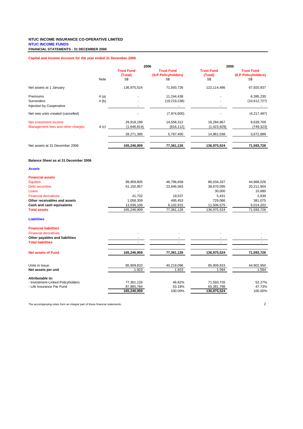## **Capital and Income Account for the year ended 31 December 2006**

|                                                                                                                                                                                                   |              |                                                                              | 2006                                                                     |                                                                                     | 2005                                                                              |  |
|---------------------------------------------------------------------------------------------------------------------------------------------------------------------------------------------------|--------------|------------------------------------------------------------------------------|--------------------------------------------------------------------------|-------------------------------------------------------------------------------------|-----------------------------------------------------------------------------------|--|
|                                                                                                                                                                                                   | Note         | <b>Trust Fund</b><br>(Total)<br>S\$                                          | <b>Trust Fund</b><br>(ILP Policyholders)<br>S\$                          | <b>Trust Fund</b><br>(Total)<br>S\$                                                 | <b>Trust Fund</b><br>(ILP Policyholders)<br>S\$                                   |  |
| Net assets at 1 January                                                                                                                                                                           |              | 136,975,524                                                                  | 71,593,726                                                               | 122,114,486                                                                         | 67,920,837                                                                        |  |
| Premiums<br>Surrenders<br>Injection by Cooperative                                                                                                                                                | 4(a)<br>4(b) |                                                                              | 11,244,438<br>(19, 219, 238)                                             |                                                                                     | 6,395,230<br>(10,612,727)                                                         |  |
| Net new units created (cancelled)                                                                                                                                                                 |              |                                                                              | (7,974,800)                                                              |                                                                                     | (4,217,497)                                                                       |  |
| Net investment income<br>Management fees and other charges                                                                                                                                        | 4 (c)        | 29,918,199<br>(1,646,814)                                                    | 14,558,312<br>(816, 112)                                                 | 16,284,967<br>(1,423,929)                                                           | 8,639,709<br>(749, 323)                                                           |  |
|                                                                                                                                                                                                   |              | 28,271,385                                                                   | 5,767,400                                                                | 14,861,038                                                                          | 3,672,889                                                                         |  |
| Net assets at 31 December 2006                                                                                                                                                                    |              | 165,246,909                                                                  | 77,361,126                                                               | 136,975,524                                                                         | 71,593,726                                                                        |  |
| Balance Sheet as at 31 December 2006                                                                                                                                                              |              |                                                                              |                                                                          |                                                                                     |                                                                                   |  |
| <b>Assets</b>                                                                                                                                                                                     |              |                                                                              |                                                                          |                                                                                     |                                                                                   |  |
| <b>Financial assets</b><br><b>Equities</b><br><b>Debt securities</b><br>Loans<br><b>Financial derivatives</b><br>Other receivables and assets<br>Cash and cash equivalents<br><b>Total assets</b> |              | 99,959,805<br>51,150,957<br>41,732<br>1,058,309<br>13,036,106<br>165,246,909 | 46,796,658<br>23,946,563<br>19,537<br>495,453<br>6,102,915<br>77,361,126 | 86,034,337<br>38,670,095<br>30,000<br>5,431<br>729,086<br>11,506,575<br>136,975,524 | 44,968,026<br>20,211,904<br>15,680<br>2,839<br>381,075<br>6,014,202<br>71,593,726 |  |
| <b>Liabilities</b>                                                                                                                                                                                |              |                                                                              |                                                                          |                                                                                     |                                                                                   |  |
| <b>Financial liabilities</b><br><b>Financial derivatives</b><br>Other payables and liabilities<br><b>Total liabilities</b>                                                                        |              | $\mathbf{r}$                                                                 |                                                                          | ×.                                                                                  |                                                                                   |  |
| <b>Net assets of Fund</b>                                                                                                                                                                         |              | 165,246,909                                                                  | 77,361,126                                                               | 136,975,524                                                                         | 71,593,726                                                                        |  |
| Units in Issue<br>Net assets per unit                                                                                                                                                             |              | 85,909,833<br>1.923                                                          | 40,219,096<br>1.923                                                      | 85,909,833<br>1.594                                                                 | 44,902,950<br>1.594                                                               |  |
| Attributable to:<br>- Investment-Linked Policyholders<br>- Life Insurance Par Fund                                                                                                                |              | 77,361,126<br>87,885,784<br>165,246,909                                      | 46.82%<br>53.18%<br>100.00%                                              | 71,593,726<br>65,381,798<br>136,975,524                                             | 52.27%<br>47.73%<br>100.00%                                                       |  |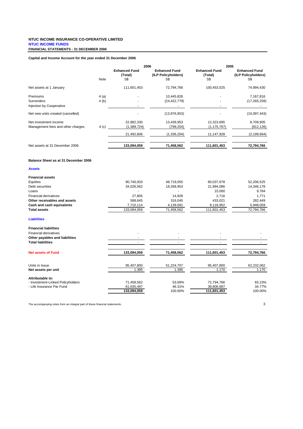**Capital and Income Account for the year ended 31 December 2006**

|                                                            |               |                                        | 2006                                               | 2005                                   |                                                    |
|------------------------------------------------------------|---------------|----------------------------------------|----------------------------------------------------|----------------------------------------|----------------------------------------------------|
|                                                            | Note          | <b>Enhanced Fund</b><br>(Total)<br>S\$ | <b>Enhanced Fund</b><br>(ILP Policyholders)<br>S\$ | <b>Enhanced Fund</b><br>(Total)<br>S\$ | <b>Enhanced Fund</b><br>(ILP Policyholders)<br>S\$ |
| Net assets at 1 January                                    |               | 111,601,453                            | 72,794,766                                         | 100,453,525                            | 74,994,430                                         |
| Premiums<br>Surrenders<br>Injection by Cooperative         | 4 (a)<br>4(b) |                                        | 10,445,826<br>(24, 422, 779)                       |                                        | 7,167,816<br>(17, 265, 259)                        |
| Net new units created (cancelled)                          |               |                                        | (13,976,953)                                       |                                        | (10,097,443)                                       |
| Net investment income<br>Management fees and other charges | 4 (c)         | 22,882,330<br>(1,389,724)              | 13,439,953<br>(799, 204)                           | 12,323,695<br>(1, 175, 767)            | 8,709,905<br>(812, 126)                            |
|                                                            |               | 21,492,606                             | (1, 336, 204)                                      | 11,147,928                             | (2, 199, 664)                                      |
| Net assets at 31 December 2006                             |               | 133,094,059                            | 71,458,562                                         | 111,601,453                            | 72,794,766                                         |
| Balance Sheet as at 31 December 2006                       |               |                                        |                                                    |                                        |                                                    |
| <b>Assets</b>                                              |               |                                        |                                                    |                                        |                                                    |
| <b>Financial assets</b>                                    |               |                                        |                                                    |                                        |                                                    |
| Equities<br>Debt securities                                |               | 90,740,933<br>34,026,562               | 48,719,055<br>18,268,953                           | 80,037,678<br>21,994,086               | 52,206,525<br>14,346,178                           |
| Loans<br><b>Financial derivatives</b>                      |               | 27,805                                 | 14.928                                             | 15,000<br>2,716                        | 9,784<br>1,771                                     |
| Other receivables and assets                               |               | 588,645                                | 316,045                                            | 433,021                                | 282,449                                            |
| Cash and cash equivalents                                  |               | 7,710,114                              | 4,139,581                                          | 9,118,952                              | 5,948,059                                          |
| <b>Total assets</b>                                        |               | 133,094,059                            | 71,458,562                                         | 111,601,453                            | 72,794,766                                         |
| <b>Liabilities</b>                                         |               |                                        |                                                    |                                        |                                                    |
| <b>Financial liabilities</b>                               |               |                                        |                                                    |                                        |                                                    |
| <b>Financial derivatives</b>                               |               |                                        |                                                    |                                        |                                                    |
| Other payables and liabilities                             |               |                                        |                                                    |                                        |                                                    |
| <b>Total liabilities</b>                                   |               | ÷.                                     |                                                    | $\overline{a}$                         |                                                    |
| <b>Net assets of Fund</b>                                  |               | 133,094,059                            | 71,458,562                                         | 111,601,453                            | 72,794,766                                         |
| Units in Issue                                             |               | 95,407,800                             | 51,224,707                                         | 95,407,800                             | 62,232,062                                         |
| Net assets per unit                                        |               | 1.395                                  | 1.395                                              | 1.170                                  | 1.170                                              |
| Attributable to:                                           |               |                                        |                                                    |                                        |                                                    |
| - Investment-Linked Policyholders                          |               | 71,458,562                             | 53.69%                                             | 72,794,766                             | 65.23%                                             |
| - Life Insurance Par Fund                                  |               | 61,635,497                             | 46.31%                                             | 38,806,687                             | 34.77%                                             |
|                                                            |               | 133,094,059                            | 100.00%                                            | 111,601,453                            | 100.00%                                            |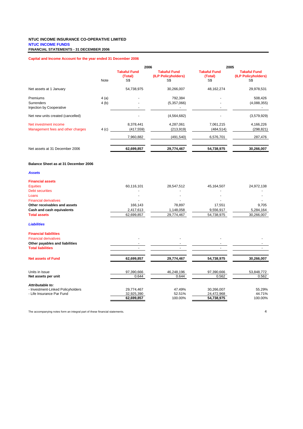#### **Capital and Income Account for the year ended 31 December 2006**

|                                                            |      | 2006                                  |                                                   | 2005                                  |                                                   |
|------------------------------------------------------------|------|---------------------------------------|---------------------------------------------------|---------------------------------------|---------------------------------------------------|
|                                                            | Note | <b>Takaful Fund</b><br>(Total)<br>S\$ | <b>Takaful Fund</b><br>(ILP Policyholders)<br>S\$ | <b>Takaful Fund</b><br>(Total)<br>S\$ | <b>Takaful Fund</b><br>(ILP Policyholders)<br>S\$ |
| Net assets at 1 January                                    |      | 54,738,975                            | 30,266,007                                        | 48,162,274                            | 29,978,531                                        |
| Premiums                                                   | 4(a) |                                       | 792,384                                           |                                       | 508,426                                           |
| Surrenders<br>Injection by Cooperative                     | 4(b) |                                       | (5,357,066)                                       |                                       | (4,088,355)                                       |
| Net new units created (cancelled)                          |      |                                       | (4, 564, 682)                                     |                                       | (3,579,929)                                       |
| Net investment income<br>Management fees and other charges | 4(c) | 8,378,441<br>(417, 559)               | 4,287,061<br>(213, 919)                           | 7,061,215<br>(484, 514)               | 4,166,226<br>(298, 821)                           |
|                                                            |      | 7,960,882                             | (491, 540)                                        | 6,576,701                             | 287,476                                           |
| Net assets at 31 December 2006                             |      | 62,699,857                            | 29,774,467                                        | 54,738,975                            | 30,266,007                                        |
| Balance Sheet as at 31 December 2006                       |      |                                       |                                                   |                                       |                                                   |
| Assets                                                     |      |                                       |                                                   |                                       |                                                   |
| <b>Financial assets</b>                                    |      |                                       |                                                   |                                       |                                                   |
| <b>Equities</b>                                            |      | 60,116,101                            | 28,547,512                                        | 45,164,507                            | 24,972,138                                        |
| <b>Debt securities</b>                                     |      |                                       |                                                   |                                       |                                                   |
| Loans                                                      |      |                                       |                                                   |                                       |                                                   |
| <b>Financial derivatives</b>                               |      |                                       |                                                   |                                       |                                                   |
| Other receivables and assets                               |      | 166,143                               | 78,897                                            | 17,551                                | 9,705                                             |
| Cash and cash equivalents                                  |      | 2,417,613                             | 1,148,058                                         | 9,556,917                             | 5,284,164                                         |
| <b>Total assets</b>                                        |      | 62,699,857                            | 29,774,467                                        | 54,738,975                            | 30,266,007                                        |
| <b>Liabilities</b>                                         |      |                                       |                                                   |                                       |                                                   |
| <b>Financial liabilities</b>                               |      |                                       |                                                   |                                       |                                                   |
| <b>Financial derivatives</b>                               |      |                                       |                                                   |                                       |                                                   |
| Other payables and liabilities                             |      |                                       |                                                   |                                       |                                                   |
| <b>Total liabilities</b>                                   |      | $\blacksquare$                        |                                                   | $\overline{\phantom{a}}$              |                                                   |
| <b>Net assets of Fund</b>                                  |      | 62,699,857                            | 29,774,467                                        | 54,738,975                            | 30,266,007                                        |
| Units in Issue                                             |      | 97,390,666                            | 46,248,196                                        | 97,390,666                            | 53,848,772                                        |
| Net assets per unit                                        |      | 0.644                                 | 0.644                                             | 0.562                                 | 0.562                                             |
| Attributable to:                                           |      |                                       |                                                   |                                       |                                                   |
| - Investment-Linked Policyholders                          |      | 29,774,467                            | 47.49%                                            | 30,266,007                            | 55.29%                                            |
| - Life Insurance Par Fund                                  |      | 32,925,390<br>62,699,857              | 52.51%<br>100.00%                                 | 24,472,968<br>54,738,975              | 44.71%<br>100.00%                                 |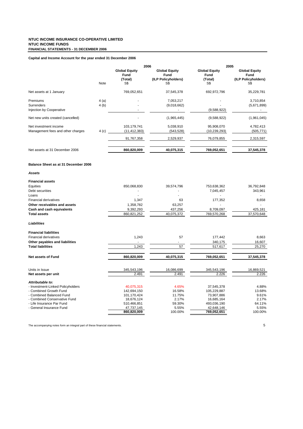#### **Capital and Income Account for the year ended 31 December 2006**

|                                                            |       | 2006                                           |                                                            | 2005                                           |                                                            |
|------------------------------------------------------------|-------|------------------------------------------------|------------------------------------------------------------|------------------------------------------------|------------------------------------------------------------|
|                                                            | Note  | <b>Global Equity</b><br>Fund<br>(Total)<br>S\$ | <b>Global Equity</b><br>Fund<br>(ILP Policyholders)<br>S\$ | <b>Global Equity</b><br>Fund<br>(Total)<br>S\$ | <b>Global Equity</b><br>Fund<br>(ILP Policyholders)<br>S\$ |
| Net assets at 1 January                                    |       | 769,052,651                                    | 37,545,378                                                 | 692,972,796                                    | 35,229,781                                                 |
| Premiums                                                   | 4 (a) |                                                | 7,053,217                                                  |                                                | 3,710,854                                                  |
| Surrenders<br>Injection by Cooperative                     | 4(b)  |                                                | (9,018,662)<br>$\overline{\phantom{a}}$                    | (9,588,922)                                    | (5,671,899)                                                |
| Net new units created (cancelled)                          |       |                                                | (1,965,445)                                                | (9,588,922)                                    | (1,961,045)                                                |
| Net investment income                                      |       | 103,179,741                                    | 5,038,910                                                  | 95,908,070                                     | 4,782,413                                                  |
| Management fees and other charges                          | 4(c)  | (11, 412, 383)<br>91,767,358                   | (543, 528)<br>2,529,937                                    | (10, 239, 293)<br>76,079,855                   | (505, 771)<br>2,315,597                                    |
|                                                            |       |                                                |                                                            |                                                |                                                            |
| Net assets at 31 December 2006                             |       | 860,820,009                                    | 40,075,315                                                 | 769,052,651                                    | 37,545,378                                                 |
| Balance Sheet as at 31 December 2006                       |       |                                                |                                                            |                                                |                                                            |
| Assets                                                     |       |                                                |                                                            |                                                |                                                            |
| <b>Financial assets</b>                                    |       |                                                |                                                            |                                                |                                                            |
| Equities<br>Debt securities                                |       | 850,068,830                                    | 39,574,796                                                 | 753,638,362<br>7,045,457                       | 36,792,848<br>343,961                                      |
| Loans                                                      |       |                                                |                                                            |                                                |                                                            |
| <b>Financial derivatives</b>                               |       | 1,347                                          | 63                                                         | 177,352                                        | 8,658                                                      |
| Other receivables and assets                               |       | 1,358,782                                      | 63,257                                                     | ÷.                                             |                                                            |
| Cash and cash equivalents                                  |       | 9,392,293                                      | 437,256                                                    | 8,709,097                                      | 425,181                                                    |
| <b>Total assets</b>                                        |       | 860, 821, 252                                  | 40,075,372                                                 | 769,570,268                                    | 37,570,648                                                 |
| Liabilities                                                |       |                                                |                                                            |                                                |                                                            |
| <b>Financial liabilities</b>                               |       |                                                |                                                            |                                                |                                                            |
| <b>Financial derivatives</b>                               |       | 1,243                                          | 57                                                         | 177,442                                        | 8,663                                                      |
| Other payables and liabilities<br><b>Total liabilities</b> |       | 1,243                                          | 57                                                         | 340,175<br>517,617                             | 16,607<br>25,270                                           |
| Net assets of Fund                                         |       | 860,820,009                                    | 40,075,315                                                 | 769,052,651                                    | 37,545,378                                                 |
|                                                            |       |                                                |                                                            |                                                |                                                            |
| Units in Issue                                             |       | 345,543,196                                    | 16,086,699                                                 | 345,543,196                                    | 16,869,521                                                 |
| Net assets per unit                                        |       | 2.491                                          | 2.491                                                      | 2.226                                          | 2.226                                                      |
| Attributable to:                                           |       |                                                |                                                            |                                                |                                                            |
| - Investment-Linked Policyholders                          |       | 40,075,315                                     | 4.65%                                                      | 37,545,378                                     | 4.88%                                                      |
| - Combined Growth Fund                                     |       | 142,694,150                                    | 16.58%                                                     | 105,229,887                                    | 13.68%                                                     |
| - Combined Balanced Fund                                   |       | 101,170,424                                    | 11.75%                                                     | 73,907,886                                     | 9.61%                                                      |
| - Combined Conservative Fund                               |       | 18,676,124                                     | 2.17%                                                      | 16,685,164                                     | 2.17%                                                      |
| - Life Insurance Par Fund                                  |       | 510,466,851                                    | 59.30%                                                     | 493,036,190                                    | 64.11%                                                     |
| - General Insurance Fund                                   |       | 47,737,145                                     | 5.55%                                                      | 42,648,146                                     | 5.55%                                                      |
|                                                            |       | 860,820,009                                    | 100.00%                                                    | 769,052,651                                    | 100.00%                                                    |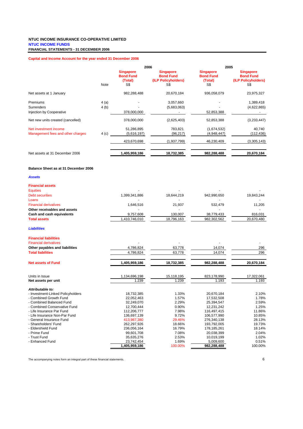#### **Capital and Income Account for the year ended 31 December 2006**

|                                                                |               | 2006                                                   |                                                                    | 2005                                                   |                                                                    |
|----------------------------------------------------------------|---------------|--------------------------------------------------------|--------------------------------------------------------------------|--------------------------------------------------------|--------------------------------------------------------------------|
|                                                                | Note          | <b>Singapore</b><br><b>Bond Fund</b><br>(Total)<br>S\$ | <b>Singapore</b><br><b>Bond Fund</b><br>(ILP Policyholders)<br>S\$ | <b>Singapore</b><br><b>Bond Fund</b><br>(Total)<br>S\$ | <b>Singapore</b><br><b>Bond Fund</b><br>(ILP Policyholders)<br>S\$ |
| Net assets at 1 January                                        |               | 982,288,488                                            | 20,670,184                                                         | 936,058,079                                            | 23,975,327                                                         |
| Premiums<br>Surrenders<br>Injection by Cooperative             | 4(a)<br>4 (b) | 378,000,000                                            | 3,057,660<br>(5,683,063)                                           | 52,853,388                                             | 1,389,418<br>(4,622,865)                                           |
| Net new units created (cancelled)                              |               | 378,000,000                                            | (2,625,403)                                                        | 52,853,388                                             | (3,233,447)                                                        |
| Net investment income<br>Management fees and other charges     | 4(c)          | 51,286,895<br>(5,616,197)                              | 783,821<br>(96, 217)                                               | (1,674,532)<br>(4,948,447)                             | 40,740<br>(112, 436)                                               |
|                                                                |               | 423,670,698                                            | (1,937,799)                                                        | 46,230,409                                             | (3,305,143)                                                        |
| Net assets at 31 December 2006                                 |               | 1,405,959,186                                          | 18,732,385                                                         | 982,288,488                                            | 20,670,184                                                         |
| Balance Sheet as at 31 December 2006                           |               |                                                        |                                                                    |                                                        |                                                                    |
| Assets                                                         |               |                                                        |                                                                    |                                                        |                                                                    |
| <b>Financial assets</b><br><b>Equities</b>                     |               |                                                        |                                                                    |                                                        |                                                                    |
| <b>Debt securities</b><br>Loans                                |               | 1,399,341,886                                          | 18,644,219                                                         | 942,990,650                                            | 19,843,244                                                         |
| <b>Financial derivatives</b>                                   |               | 1,646,516                                              | 21,937                                                             | 532,479                                                | 11,205                                                             |
| Other receivables and assets                                   |               |                                                        |                                                                    |                                                        |                                                                    |
| Cash and cash equivalents                                      |               | 9,757,608                                              | 130,007                                                            | 38,779,433                                             | 816,031                                                            |
| <b>Total assets</b>                                            |               | 1,410,746,010                                          | 18,796,163                                                         | 982,302,562                                            | 20,670,480                                                         |
| Liabilities                                                    |               |                                                        |                                                                    |                                                        |                                                                    |
| <b>Financial liabilities</b>                                   |               |                                                        |                                                                    |                                                        |                                                                    |
| <b>Financial derivatives</b><br>Other payables and liabilities |               | 4,786,824                                              | 63,778                                                             | 14,074                                                 | 296                                                                |
| <b>Total liabilities</b>                                       |               | 4,786,824                                              | 63,778                                                             | 14,074                                                 | 296                                                                |
| <b>Net assets of Fund</b>                                      |               | 1,405,959,186                                          | 18,732,385                                                         | 982,288,488                                            | 20,670,184                                                         |
| Units in Issue                                                 |               | 1,134,696,198                                          | 15,118,195                                                         | 823,178,990                                            | 17,322,061                                                         |
| Net assets per unit                                            |               | 1.239                                                  | 1.239                                                              | 1.193                                                  | 1.193                                                              |
| Attributable to:<br>- Investment-Linked Policyholders          |               | 18,732,385                                             | 1.33%                                                              | 20,670,184                                             | 2.10%                                                              |
| - Combined Growth Fund                                         |               | 22,052,463                                             | 1.57%                                                              | 17,532,508                                             | 1.78%                                                              |
| - Combined Balanced Fund                                       |               | 32,249,070                                             | 2.29%                                                              | 25,394,547                                             | 2.59%                                                              |
| - Combined Conservative Fund                                   |               | 12,700,444                                             | 0.90%                                                              | 12,231,242                                             | 1.25%                                                              |
| - Life Insurance Par Fund                                      |               | 112,206,777                                            | 7.98%                                                              | 116,497,415                                            | 11.86%                                                             |
| - Life Insurance Non-Par Fund                                  |               | 136,697,139                                            | 9.72%                                                              | 106,577,990                                            | 10.85%                                                             |
| - General Insurance Fund                                       |               | 413,987,380                                            | 29.46%                                                             | 276,340,138                                            | 28.13%                                                             |
| - Shareholders' Fund                                           |               | 262,297,926                                            | 18.66%                                                             | 193,792,005                                            | 19.73%                                                             |
| - Eldershield Fund                                             |               | 236,056,164                                            | 16.79%                                                             | 178,185,261                                            | 18.14%                                                             |
| - Prime Fund                                                   |               | 99,601,708                                             | 7.08%                                                              | 20,038,399                                             | 2.04%                                                              |
| - Trust Fund                                                   |               | 35,635,276                                             | 2.53%                                                              | 10,019,199                                             | 1.02%                                                              |
| - Enhanced Fund                                                |               | 23,742,454                                             | 1.69%                                                              | 5,009,600                                              | 0.51%                                                              |
|                                                                |               | 1,405,959,186                                          | 100.00%                                                            | 982,288,488                                            | 100.00%                                                            |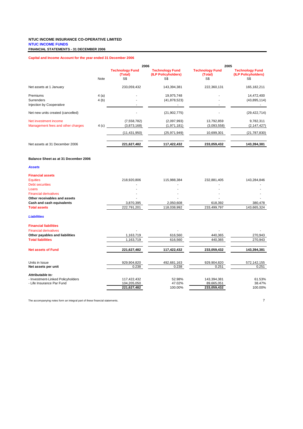#### **Capital and Income Account for the year ended 31 December 2006**

|                                   |             | 2006                                     |                                                      | 2005                                     |                                                      |
|-----------------------------------|-------------|------------------------------------------|------------------------------------------------------|------------------------------------------|------------------------------------------------------|
|                                   | <b>Note</b> | <b>Technology Fund</b><br>(Total)<br>S\$ | <b>Technology Fund</b><br>(ILP Policyholders)<br>S\$ | <b>Technology Fund</b><br>(Total)<br>S\$ | <b>Technology Fund</b><br>(ILP Policyholders)<br>S\$ |
| Net assets at 1 January           |             | 233,059,432                              | 143,394,381                                          | 222,360,131                              | 165,182,211                                          |
| Premiums                          | 4(a)        |                                          | 19,975,748                                           |                                          | 14,472,400                                           |
| <b>Surrenders</b>                 | 4(b)        |                                          | (41, 878, 523)                                       |                                          | (43,895,114)                                         |
| Injection by Cooperative          |             |                                          |                                                      |                                          |                                                      |
| Net new units created (cancelled) |             |                                          | (21, 902, 775)                                       |                                          | (29, 422, 714)                                       |
| Net investment income             |             | (7,558,782)                              | (2,097,993)                                          | 13,792,859                               | 9,782,311                                            |
| Management fees and other charges | 4(c)        | (3,873,168)                              | (1,971,181)                                          | (3,093,558)                              | (2, 147, 427)                                        |
|                                   |             | (11, 431, 950)                           | (25, 971, 949)                                       | 10,699,301                               | (21, 787, 830)                                       |
| Net assets at 31 December 2006    |             | 221,627,482                              | 117,422,432                                          | 233,059,432                              | 143,394,381                                          |

#### **Balance Sheet as at 31 December 2006**

**Assets**

| <b>Financial assets</b>           |             |             |             |             |
|-----------------------------------|-------------|-------------|-------------|-------------|
| <b>Equities</b>                   | 218,920,806 | 115,988,384 | 232,881,405 | 143,284,846 |
| <b>Debt securities</b>            |             |             |             |             |
| Loans                             |             |             |             |             |
| <b>Financial derivatives</b>      |             |             |             |             |
| Other receivables and assets      |             |             |             |             |
| Cash and cash equivalents         | 3,870,395   | 2,050,608   | 618,392     | 380,478     |
| <b>Total assets</b>               | 222,791,201 | 118,038,992 | 233,499,797 | 143,665,324 |
| <b>Liabilities</b>                |             |             |             |             |
| <b>Financial liabilities</b>      |             |             |             |             |
| <b>Financial derivatives</b>      |             |             |             |             |
| Other payables and liabilities    | 1,163,719   | 616,560     | 440,365     | 270,943     |
| <b>Total liabilities</b>          | 1,163,719   | 616,560     | 440.365     | 270,943     |
| <b>Net assets of Fund</b>         | 221,627,482 | 117,422,432 | 233,059,432 | 143,394,381 |
| Units in Issue                    | 929,904,820 | 492,681,163 | 929,904,820 | 572,142,155 |
| Net assets per unit               | 0.238       | 0.238       | 0.251       | 0.251       |
| Attributable to:                  |             |             |             |             |
| - Investment-Linked Policyholders | 117,422,432 | 52.98%      | 143,394,381 | 61.53%      |
| - Life Insurance Par Fund         | 104,205,050 | 47.02%      | 89,665,051  | 38.47%      |
|                                   | 221,627,482 | 100.00%     | 233,059,432 | 100.00%     |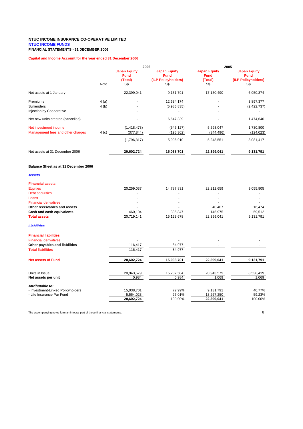#### **Capital and Income Account for the year ended 31 December 2006**

|                                                            |              | 2006                                                 |                                                                  | 2005                                                 |                                                                  |
|------------------------------------------------------------|--------------|------------------------------------------------------|------------------------------------------------------------------|------------------------------------------------------|------------------------------------------------------------------|
|                                                            | Note         | <b>Japan Equity</b><br><b>Fund</b><br>(Total)<br>S\$ | <b>Japan Equity</b><br><b>Fund</b><br>(ILP Policyholders)<br>S\$ | <b>Japan Equity</b><br><b>Fund</b><br>(Total)<br>S\$ | <b>Japan Equity</b><br><b>Fund</b><br>(ILP Policyholders)<br>S\$ |
| Net assets at 1 January                                    |              | 22,399,041                                           | 9,131,791                                                        | 17,150,490                                           | 6,050,374                                                        |
| Premiums<br>Surrenders                                     | 4(a)<br>4(b) |                                                      | 12,634,174<br>(5,986,835)                                        |                                                      | 3,897,377<br>(2, 422, 737)                                       |
| <b>Injection by Cooperative</b>                            |              |                                                      |                                                                  |                                                      |                                                                  |
| Net new units created (cancelled)                          |              |                                                      | 6,647,339                                                        |                                                      | 1,474,640                                                        |
| Net investment income<br>Management fees and other charges | 4(c)         | (1, 418, 473)<br>(377, 844)                          | (545, 127)<br>(195, 302)                                         | 5,593,047<br>(344, 496)                              | 1,730,800<br>(124, 023)                                          |
|                                                            |              | (1,796,317)                                          | 5,906,910                                                        | 5,248,551                                            | 3,081,417                                                        |
| Net assets at 31 December 2006                             |              | 20,602,724                                           | 15,038,701                                                       | 22,399,041                                           | 9,131,791                                                        |
| Balance Sheet as at 31 December 2006                       |              |                                                      |                                                                  |                                                      |                                                                  |
| Assets                                                     |              |                                                      |                                                                  |                                                      |                                                                  |
| <b>Financial assets</b>                                    |              |                                                      |                                                                  |                                                      |                                                                  |
| <b>Equities</b>                                            |              | 20,259,037                                           | 14,787,831                                                       | 22,212,659                                           | 9,055,805                                                        |
| <b>Debt securities</b>                                     |              |                                                      |                                                                  |                                                      |                                                                  |
| Loans                                                      |              |                                                      |                                                                  |                                                      |                                                                  |
| <b>Financial derivatives</b>                               |              |                                                      |                                                                  |                                                      |                                                                  |
| Other receivables and assets                               |              |                                                      |                                                                  | 40,407                                               | 16,474                                                           |
| Cash and cash equivalents                                  |              | 460,104                                              | 335,847                                                          | 145,975                                              | 59,512                                                           |
| <b>Total assets</b>                                        |              | 20,719,141                                           | 15,123,678                                                       | 22,399,041                                           | 9,131,791                                                        |
| <b>Liabilities</b>                                         |              |                                                      |                                                                  |                                                      |                                                                  |
| <b>Financial liabilities</b>                               |              |                                                      |                                                                  |                                                      |                                                                  |
| <b>Financial derivatives</b>                               |              |                                                      |                                                                  |                                                      |                                                                  |
| Other payables and liabilities                             |              | 116,417                                              | 84,977                                                           |                                                      |                                                                  |
| <b>Total liabilities</b>                                   |              | 116,417                                              | 84,977                                                           | ÷.                                                   |                                                                  |
| <b>Net assets of Fund</b>                                  |              | 20,602,724                                           | 15,038,701                                                       | 22,399,041                                           | 9,131,791                                                        |
| Units in Issue                                             |              | 20,943,579                                           | 15,287,504                                                       | 20,943,579                                           | 8,538,419                                                        |
| Net assets per unit                                        |              | 0.984                                                | 0.984                                                            | 1.069                                                | 1.069                                                            |
| Attributable to:                                           |              |                                                      |                                                                  |                                                      |                                                                  |
| - Investment-Linked Policyholders                          |              | 15,038,701                                           | 72.99%                                                           | 9,131,791                                            | 40.77%                                                           |
| - Life Insurance Par Fund                                  |              | 5,564,023                                            | 27.01%                                                           | 13,267,250                                           | 59.23%                                                           |
|                                                            |              | 20,602,724                                           | 100.00%                                                          | 22,399,041                                           | 100.00%                                                          |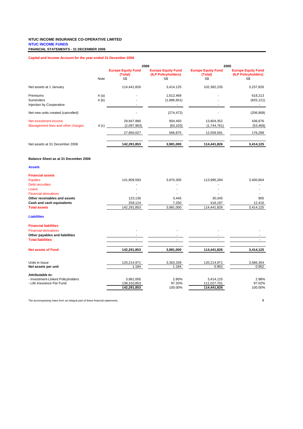#### **Capital and Income Account for the year ended 31 December 2006**

|                                                            |              |                                             | 2006                                                    | 2005                                        |                                                         |
|------------------------------------------------------------|--------------|---------------------------------------------|---------------------------------------------------------|---------------------------------------------|---------------------------------------------------------|
|                                                            | Note         | <b>Europe Equity Fund</b><br>(Total)<br>S\$ | <b>Europe Equity Fund</b><br>(ILP Policyholders)<br>S\$ | <b>Europe Equity Fund</b><br>(Total)<br>S\$ | <b>Europe Equity Fund</b><br>(ILP Policyholders)<br>S\$ |
| Net assets at 1 January                                    |              | 114,441,826                                 | 3,414,125                                               | 102,382,235                                 | 3,237,826                                               |
| Premiums<br><b>Surrenders</b><br>Injection by Cooperative  | 4(a)<br>4(b) |                                             | 1,612,469<br>(1,886,941)                                |                                             | 618,213<br>(825, 121)                                   |
| Net new units created (cancelled)                          |              |                                             | (274, 472)                                              |                                             | (206, 908)                                              |
| Net investment income<br>Management fees and other charges | 4 (c)        | 29,947,990<br>(2,097,963)                   | 904,450<br>(63, 103)                                    | 13,804,352<br>(1,744,761)                   | 436,676<br>(53, 469)                                    |
|                                                            |              | 27,850,027                                  | 566,875                                                 | 12,059,591                                  | 176,299                                                 |
| Net assets at 31 December 2006                             |              | 142,291,853                                 | 3,981,000                                               | 114,441,826                                 | 3,414,125                                               |
| Balance Sheet as at 31 December 2006                       |              |                                             |                                                         |                                             |                                                         |
| <b>Assets</b>                                              |              |                                             |                                                         |                                             |                                                         |

| <b>Financial assets</b>           |             |           |             |           |
|-----------------------------------|-------------|-----------|-------------|-----------|
| <b>Equities</b>                   | 141,909,593 | 3,970,305 | 113,995,284 | 3,400,804 |
| <b>Debt securities</b>            |             |           |             |           |
| Loans                             |             |           |             |           |
| <b>Financial derivatives</b>      |             |           |             |           |
| Other receivables and assets      | 123,136     | 3,445     | 30,345      | 905       |
| Cash and cash equivalents         | 259,124     | 7.250     | 416,197     | 12,416    |
| <b>Total assets</b>               | 142,291,853 | 3,981,000 | 114,441,826 | 3,414,125 |
| <b>Liabilities</b>                |             |           |             |           |
| <b>Financial liabilities</b>      |             |           |             |           |
| <b>Financial derivatives</b>      |             |           |             |           |
| Other payables and liabilities    |             |           |             |           |
| <b>Total liabilities</b>          |             |           |             |           |
| <b>Net assets of Fund</b>         | 142,291,853 | 3,981,000 | 114,441,826 | 3,414,125 |
| Units in Issue                    | 120,214,971 | 3,363,339 | 120,214,971 | 3,586,354 |
| Net assets per unit               | 1.184       | 1.184     | 0.952       | 0.952     |
| Attributable to:                  |             |           |             |           |
| - Investment-Linked Policyholders | 3,981,000   | 2.80%     | 3,414,125   | 2.98%     |
| - Life Insurance Par Fund         | 138,310,853 | 97.20%    | 111,027,701 | 97.02%    |
|                                   | 142,291,853 | 100.00%   | 114,441,826 | 100.00%   |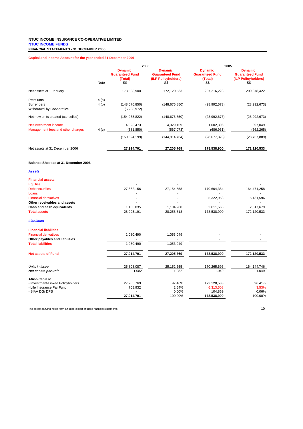#### **Capital and Income Account for the year ended 31 December 2006**

|                                                                                                      |              | 2006                                                       |                                                                        | 2005                                                       |                                                                        |
|------------------------------------------------------------------------------------------------------|--------------|------------------------------------------------------------|------------------------------------------------------------------------|------------------------------------------------------------|------------------------------------------------------------------------|
|                                                                                                      | Note         | <b>Dynamic</b><br><b>Guaranteed Fund</b><br>(Total)<br>S\$ | <b>Dynamic</b><br><b>Guaranteed Fund</b><br>(ILP Policyholders)<br>S\$ | <b>Dynamic</b><br><b>Guaranteed Fund</b><br>(Total)<br>S\$ | <b>Dynamic</b><br><b>Guaranteed Fund</b><br>(ILP Policyholders)<br>S\$ |
| Net assets at 1 January                                                                              |              | 178,538,900                                                | 172,120,533                                                            | 207,216,228                                                | 200,878,422                                                            |
| Premiums<br>Surrenders<br>Withdrawal by Cooperative                                                  | 4(a)<br>4(b) | (148, 676, 850)<br>(6, 288, 972)                           | (148, 676, 850)                                                        | (28, 992, 673)                                             | (28, 992, 673)                                                         |
| Net new units created (cancelled)                                                                    |              | (154, 965, 822)                                            | (148, 676, 850)                                                        | (28, 992, 673)                                             | (28, 992, 673)                                                         |
| Net investment income<br>Management fees and other charges                                           | 4 (c)        | 4,923,473<br>(581, 850)                                    | 4,329,159<br>(567,073)                                                 | 1,002,306<br>(686, 961)                                    | 897,049<br>(662, 265)                                                  |
|                                                                                                      |              | (150, 624, 199)                                            | (144, 914, 764)                                                        | (28, 677, 328)                                             | (28, 757, 889)                                                         |
| Net assets at 31 December 2006                                                                       |              | 27,914,701                                                 | 27,205,769                                                             | 178,538,900                                                | 172,120,533                                                            |
| Balance Sheet as at 31 December 2006                                                                 |              |                                                            |                                                                        |                                                            |                                                                        |
| <b>Assets</b>                                                                                        |              |                                                            |                                                                        |                                                            |                                                                        |
| <b>Financial assets</b><br><b>Equities</b>                                                           |              |                                                            |                                                                        |                                                            |                                                                        |
| <b>Debt securities</b><br>Loans                                                                      |              | 27,862,156                                                 | 27,154,558                                                             | 170,604,384                                                | 164,471,258                                                            |
| <b>Financial derivatives</b>                                                                         |              |                                                            |                                                                        | 5,322,953                                                  | 5,131,596                                                              |
| Other receivables and assets                                                                         |              |                                                            |                                                                        |                                                            |                                                                        |
| Cash and cash equivalents                                                                            |              | 1,133,035                                                  | 1,104,260                                                              | 2,611,563                                                  | 2,517,679                                                              |
| <b>Total assets</b>                                                                                  |              | 28,995,191                                                 | 28,258,818                                                             | 178,538,900                                                | 172,120,533                                                            |
| <b>Liabilities</b>                                                                                   |              |                                                            |                                                                        |                                                            |                                                                        |
| <b>Financial liabilities</b><br><b>Financial derivatives</b><br>Other payables and liabilities       |              | 1,080,490                                                  | 1,053,049                                                              |                                                            |                                                                        |
| <b>Total liabilities</b>                                                                             |              | 1,080,490                                                  | 1,053,049                                                              | ÷.                                                         |                                                                        |
| <b>Net assets of Fund</b>                                                                            |              | 27,914,701                                                 | 27,205,769                                                             | 178,538,900                                                | 172,120,533                                                            |
| Units in Issue<br>Net assets per unit                                                                |              | 25,808,087<br>1.082                                        | 25, 152, 655<br>1.082                                                  | 170,265,696<br>1.049                                       | 164,144,746<br>1.049                                                   |
| Attributable to:<br>- Investment-Linked Policyholders<br>- Life Insurance Par Fund<br>- SIAA DG/ DPS |              | 27,205,769<br>708,932<br>27,914,701                        | 97.46%<br>2.54%<br>0.00%<br>100.00%                                    | 172,120,533<br>6,313,508<br>104,859<br>178,538,900         | 96.41%<br>3.53%<br>0.06%<br>100.00%                                    |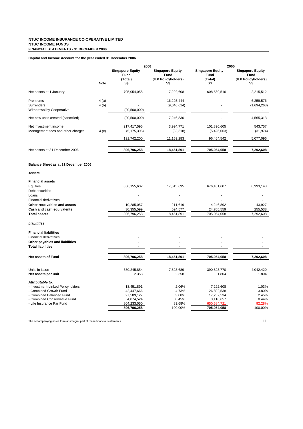#### **Capital and Income Account for the year ended 31 December 2006**

|                                                            |       | 2006                                              |                                                               | 2005                                                     |                                                               |  |
|------------------------------------------------------------|-------|---------------------------------------------------|---------------------------------------------------------------|----------------------------------------------------------|---------------------------------------------------------------|--|
|                                                            | Note  | <b>Singapore Equity</b><br>Fund<br>(Total)<br>S\$ | <b>Singapore Equity</b><br>Fund<br>(ILP Policyholders)<br>S\$ | <b>Singapore Equity</b><br><b>Fund</b><br>(Total)<br>S\$ | <b>Singapore Equity</b><br>Fund<br>(ILP Policyholders)<br>S\$ |  |
| Net assets at 1 January                                    |       | 705,054,058                                       | 7,292,608                                                     | 608,589,516                                              | 2,215,512                                                     |  |
| Premiums                                                   | 4(a)  |                                                   | 16,293,444                                                    |                                                          | 6,259,576                                                     |  |
| Surrenders<br>Withdrawal by Cooperative                    | 4(b)  | (20,500,000)                                      | (9,046,614)                                                   |                                                          | (1,694,263)                                                   |  |
| Net new units created (cancelled)                          |       | (20, 500, 000)                                    | 7,246,830                                                     |                                                          | 4,565,313                                                     |  |
| Net investment income<br>Management fees and other charges | 4 (c) | 217,417,595<br>(5, 175, 395)                      | 3,994,771<br>(82, 318)                                        | 101,890,605<br>(5,426,063)                               | 543,757<br>(31, 974)                                          |  |
|                                                            |       | 191,742,200                                       | 11,159,283                                                    | 96,464,542                                               | 5,077,096                                                     |  |
| Net assets at 31 December 2006                             |       | 896,796,258                                       | 18,451,891                                                    | 705,054,058                                              | 7,292,608                                                     |  |
| Balance Sheet as at 31 December 2006                       |       |                                                   |                                                               |                                                          |                                                               |  |
| Assets                                                     |       |                                                   |                                                               |                                                          |                                                               |  |
| <b>Financial assets</b>                                    |       |                                                   |                                                               |                                                          |                                                               |  |
| Equities                                                   |       | 856, 155, 602                                     | 17,615,695                                                    | 676,101,607                                              | 6,993,143                                                     |  |
| Debt securities                                            |       |                                                   |                                                               |                                                          |                                                               |  |
| Loans                                                      |       |                                                   |                                                               |                                                          |                                                               |  |
| <b>Financial derivatives</b>                               |       |                                                   |                                                               |                                                          |                                                               |  |
| Other receivables and assets                               |       | 10,285,057                                        | 211,619                                                       | 4,246,892                                                | 43,927                                                        |  |
| Cash and cash equivalents                                  |       | 30,355,599                                        | 624,577                                                       | 24,705,559                                               | 255,538                                                       |  |
| <b>Total assets</b>                                        |       | 896,796,258                                       | 18,451,891                                                    | 705,054,058                                              | 7,292,608                                                     |  |
| Liabilities                                                |       |                                                   |                                                               |                                                          |                                                               |  |
| Financial liabilities                                      |       |                                                   |                                                               |                                                          |                                                               |  |
| Financial derivatives                                      |       |                                                   |                                                               |                                                          |                                                               |  |
| Other payables and liabilities                             |       |                                                   |                                                               |                                                          |                                                               |  |
| <b>Total liabilities</b>                                   |       | J.                                                |                                                               | L,                                                       |                                                               |  |
| Net assets of Fund                                         |       | 896,796,258                                       | 18,451,891                                                    | 705,054,058                                              | 7,292,608                                                     |  |
| Units in Issue                                             |       | 380,245,854                                       | 7,823,689                                                     | 390,823,770                                              | 4,042,420                                                     |  |
| Net assets per unit                                        |       | 2.358                                             | 2.358                                                         | 1.804                                                    | 1.804                                                         |  |
| Attributable to:                                           |       |                                                   |                                                               |                                                          |                                                               |  |
| - Investment-Linked Policyholders                          |       | 18,451,891                                        | 2.06%                                                         | 7,292,608                                                | 1.03%                                                         |  |
| - Combined Growth Fund                                     |       | 42,447,666                                        | 4.73%                                                         | 26,802,538                                               | 3.80%                                                         |  |
| - Combined Balanced Fund                                   |       | 27,589,127                                        | 3.08%                                                         | 17,257,534                                               | 2.45%                                                         |  |
| - Combined Conservative Fund                               |       | 4,074,524                                         | 0.45%                                                         | 3,116,657                                                | 0.44%                                                         |  |
| - Life Insurance Par Fund                                  |       | 804,233,050<br>896,796,258                        | 89.68%<br>100.00%                                             | 650,584,721<br>705,054,058                               | 92.28%<br>100.00%                                             |  |
|                                                            |       |                                                   |                                                               |                                                          |                                                               |  |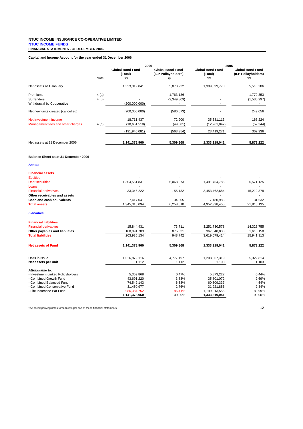**Capital and Income Account for the year ended 31 December 2006**

|                                                                                                                                                                          | 2006                                                                                |                                                       | 2005                                                                                  |                                                       |
|--------------------------------------------------------------------------------------------------------------------------------------------------------------------------|-------------------------------------------------------------------------------------|-------------------------------------------------------|---------------------------------------------------------------------------------------|-------------------------------------------------------|
| Note                                                                                                                                                                     | <b>Global Bond Fund</b><br>(Total)<br>S\$                                           | <b>Global Bond Fund</b><br>(ILP Policyholders)<br>S\$ | <b>Global Bond Fund</b><br>(Total)<br>S\$                                             | <b>Global Bond Fund</b><br>(ILP Policyholders)<br>S\$ |
| Net assets at 1 January                                                                                                                                                  | 1,333,319,041                                                                       | 5,873,222                                             | 1,309,899,770                                                                         | 5,510,286                                             |
| Premiums<br>4(a)<br>Surrenders<br>4(b)<br>Withdrawal by Cooperative                                                                                                      | (200,000,000)                                                                       | 1,763,136<br>(2,349,809)<br>$\sim$                    |                                                                                       | 1,779,353<br>(1,530,297)                              |
| Net new units created (cancelled)                                                                                                                                        | (200,000,000)                                                                       | (586, 673)                                            |                                                                                       | 249,056                                               |
| Net investment income<br>Management fees and other charges<br>4(c)                                                                                                       | 18,711,437<br>(10,651,518)                                                          | 72,900<br>(49, 581)                                   | 35,681,113<br>(12, 261, 842)                                                          | 166,224<br>(52, 344)                                  |
|                                                                                                                                                                          | (191, 940, 081)                                                                     | (563, 354)                                            | 23,419,271                                                                            | 362,936                                               |
| Net assets at 31 December 2006                                                                                                                                           | 1,141,378,960                                                                       | 5,309,868                                             | 1,333,319,041                                                                         | 5,873,222                                             |
| Balance Sheet as at 31 December 2006                                                                                                                                     |                                                                                     |                                                       |                                                                                       |                                                       |
| <b>Assets</b>                                                                                                                                                            |                                                                                     |                                                       |                                                                                       |                                                       |
| <b>Financial assets</b><br><b>Equities</b>                                                                                                                               |                                                                                     |                                                       |                                                                                       |                                                       |
| <b>Debt securities</b><br>Loans                                                                                                                                          | 1,304,551,831                                                                       | 6,068,973                                             | 1,491,754,786                                                                         | 6,571,125                                             |
| <b>Financial derivatives</b><br>Other receivables and assets                                                                                                             | 33,346,222                                                                          | 155,132                                               | 3,453,462,684                                                                         | 15,212,378                                            |
| Cash and cash equivalents                                                                                                                                                | 7,417,041                                                                           | 34,505                                                | 7,180,985                                                                             | 31,632                                                |
| <b>Total assets</b>                                                                                                                                                      | 1,345,315,094                                                                       | 6,258,610                                             | 4,952,398,455                                                                         | 21,815,135                                            |
| <b>Liabilities</b>                                                                                                                                                       |                                                                                     |                                                       |                                                                                       |                                                       |
| <b>Financial liabilities</b>                                                                                                                                             |                                                                                     |                                                       |                                                                                       |                                                       |
| <b>Financial derivatives</b>                                                                                                                                             | 15,844,431                                                                          | 73.711                                                | 3,251,730,578                                                                         | 14,323,755                                            |
| Other payables and liabilities<br><b>Total liabilities</b>                                                                                                               | 188,091,703<br>203,936,134                                                          | 875,031<br>948.742                                    | 367,348,836<br>3,619,079,414                                                          | 1,618,158<br>15,941,913                               |
|                                                                                                                                                                          |                                                                                     |                                                       |                                                                                       |                                                       |
| <b>Net assets of Fund</b>                                                                                                                                                | 1,141,378,960                                                                       | 5,309,868                                             | 1,333,319,041                                                                         | 5,873,222                                             |
| Units in Issue<br>Net assets per unit                                                                                                                                    | 1,026,879,116<br>1.112                                                              | 4,777,197<br>1.112                                    | 1,208,367,319<br>1.103                                                                | 5,322,814<br>1.103                                    |
| Attributable to:<br>- Investment-Linked Policyholders<br>- Combined Growth Fund<br>- Combined Balanced Fund<br>- Combined Conservative Fund<br>- Life Insurance Par Fund | 5,309,868<br>43,691,220<br>74,542,143<br>31,450,977<br>986,384,752<br>1,141,378,960 | 0.47%<br>3.83%<br>6.53%<br>2.76%<br>86.41%<br>100.00% | 5,873,222<br>35,801,072<br>60,509,337<br>31,221,856<br>1,199,913,556<br>1,333,319,041 | 0.44%<br>2.69%<br>4.54%<br>2.34%<br>89.99%<br>100.00% |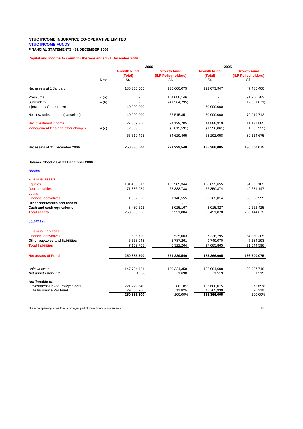#### **Capital and Income Account for the year ended 31 December 2006**

|                                                            |              | 2006                                 |                                                  | 2005                                 |                                                  |
|------------------------------------------------------------|--------------|--------------------------------------|--------------------------------------------------|--------------------------------------|--------------------------------------------------|
|                                                            | Note         | <b>Growth Fund</b><br>(Total)<br>S\$ | <b>Growth Fund</b><br>(ILP Policyholders)<br>S\$ | <b>Growth Fund</b><br>(Total)<br>S\$ | <b>Growth Fund</b><br>(ILP Policyholders)<br>S\$ |
| Net assets at 1 January                                    |              | 185,366,005                          | 136,600,075                                      | 122,073,947                          | 47,485,400                                       |
| Premiums<br>Surrenders<br><b>Injection by Cooperative</b>  | 4(a)<br>4(b) | 40,000,000                           | 104,080,146<br>(41, 564, 795)                    | 50,000,000                           | 91,900,783<br>(12,881,071)                       |
| Net new units created (cancelled)                          |              | 40,000,000                           | 62,515,351                                       | 50,000,000                           | 79,019,712                                       |
| Net investment income<br>Management fees and other charges | 4(c)         | 27,889,360<br>(2,369,865)            | 24,129,705<br>(2,015,591)                        | 14,888,919<br>(1,596,861)            | 11,177,885<br>(1,082,922)                        |
|                                                            |              | 65,519,495                           | 84,629,465                                       | 63,292,058                           | 89,114,675                                       |
| Net assets at 31 December 2006                             |              | 250,885,500                          | 221,229,540                                      | 185,366,005                          | 136,600,075                                      |
| Balance Sheet as at 31 December 2006                       |              |                                      |                                                  |                                      |                                                  |
| <b>Assets</b>                                              |              |                                      |                                                  |                                      |                                                  |
| <b>Financial assets</b>                                    |              |                                      |                                                  |                                      |                                                  |
| <b>Equities</b><br><b>Debt securities</b>                  |              | 181,436,017<br>71,886,039            | 159,989,344<br>63,388,738                        | 128,822,655<br>57,850,374            | 94,932,102<br>42,631,147                         |
| Loans<br><b>Financial derivatives</b>                      |              | 1,302,520                            | 1,148,555                                        | 92,763,014                           | 68,358,999                                       |
| Other receivables and assets                               |              |                                      |                                                  |                                      |                                                  |
| <b>Cash and cash equivalents</b>                           |              | 3,430,692                            | 3,025,167                                        | 3,015,827                            | 2,222,425                                        |
| <b>Total assets</b>                                        |              | 258,055,268                          | 227,551,804                                      | 282,451,870                          | 208,144,673                                      |
| <b>Liabilities</b>                                         |              |                                      |                                                  |                                      |                                                  |
| <b>Financial liabilities</b>                               |              |                                      |                                                  |                                      |                                                  |
| <b>Financial derivatives</b>                               |              | 606,720                              | 535,003                                          | 87,336,795                           | 64,360,305                                       |
| Other payables and liabilities                             |              | 6,563,048                            | 5,787,261                                        | 9,749,070                            | 7,184,293                                        |
| <b>Total liabilities</b>                                   |              | 7,169,768                            | 6,322,264                                        | 97,085,865                           | 71,544,598                                       |
| <b>Net assets of Fund</b>                                  |              | 250,885,500                          | 221,229,540                                      | 185,366,005                          | 136,600,075                                      |
| Units in Issue                                             |              | 147,794,421                          | 130,324,358                                      | 122,004,608                          | 89,907,740                                       |
| Net assets per unit                                        |              | 1.698                                | 1.698                                            | 1.519                                | 1.519                                            |
| Attributable to:                                           |              |                                      |                                                  |                                      |                                                  |
| - Investment-Linked Policyholders                          |              | 221,229,540                          | 88.18%                                           | 136,600,075                          | 73.69%                                           |
| - Life Insurance Par Fund                                  |              | 29,655,960                           | 11.82%                                           | 48,765,930                           | 26.31%                                           |
|                                                            |              | 250,885,500                          | 100.00%                                          | 185,366,005                          | 100.00%                                          |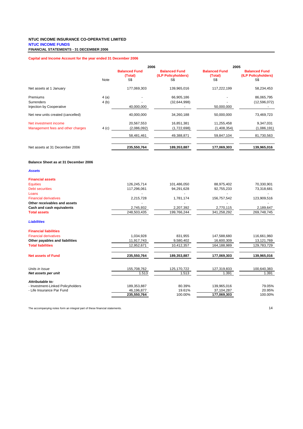#### **Capital and Income Account for the year ended 31 December 2006**

|                                                                                    |              | 2006                                   |                                                    | 2005                                   |                                                    |
|------------------------------------------------------------------------------------|--------------|----------------------------------------|----------------------------------------------------|----------------------------------------|----------------------------------------------------|
|                                                                                    | <b>Note</b>  | <b>Balanced Fund</b><br>(Total)<br>S\$ | <b>Balanced Fund</b><br>(ILP Policyholders)<br>S\$ | <b>Balanced Fund</b><br>(Total)<br>S\$ | <b>Balanced Fund</b><br>(ILP Policyholders)<br>S\$ |
| Net assets at 1 January                                                            |              | 177,069,303                            | 139,965,016                                        | 117,222,199                            | 58,234,453                                         |
| Premiums<br>Surrenders<br>Injection by Cooperative                                 | 4(a)<br>4(b) | 40,000,000                             | 66,905,186<br>(32,644,998)                         | 50,000,000                             | 86,065,795<br>(12, 596, 072)                       |
| Net new units created (cancelled)                                                  |              | 40,000,000                             | 34,260,188                                         | 50,000,000                             | 73,469,723                                         |
| Net investment income<br>Management fees and other charges                         | 4(c)         | 20,567,553<br>(2,086,092)              | 16,851,381<br>(1,722,698)                          | 11,255,458<br>(1,408,354)              | 9,347,031<br>(1,086,191)                           |
|                                                                                    |              | 58,481,461                             | 49,388,871                                         | 59,847,104                             | 81,730,563                                         |
| Net assets at 31 December 2006                                                     |              | 235,550,764                            | 189,353,887                                        | 177,069,303                            | 139,965,016                                        |
| Balance Sheet as at 31 December 2006                                               |              |                                        |                                                    |                                        |                                                    |
| Assets                                                                             |              |                                        |                                                    |                                        |                                                    |
| <b>Financial assets</b>                                                            |              |                                        |                                                    |                                        |                                                    |
| <b>Equities</b><br><b>Debt securities</b>                                          |              | 126,245,714<br>117,296,061             | 101,486,050<br>94,291,628                          | 88,975,402<br>92,755,233               | 70,330,901<br>73,318,681                           |
| Loans<br><b>Financial derivatives</b>                                              |              | 2,215,728                              | 1,781,174                                          | 156,757,542                            | 123,909,516                                        |
| Other receivables and assets<br>Cash and cash equivalents<br><b>Total assets</b>   |              | 2,745,932<br>248,503,435               | 2,207,392<br>199,766,244                           | 2,770,115<br>341,258,292               | 2,189,647<br>269,748,745                           |
| <b>Liabilities</b>                                                                 |              |                                        |                                                    |                                        |                                                    |
| <b>Financial liabilities</b>                                                       |              |                                        |                                                    |                                        |                                                    |
| <b>Financial derivatives</b><br>Other payables and liabilities                     |              | 1,034,928<br>11,917,743                | 831,955<br>9,580,402                               | 147,588,680<br>16,600,309              | 116,661,960<br>13,121,769                          |
| <b>Total liabilities</b>                                                           |              | 12,952,671                             | 10,412,357                                         | 164,188,989                            | 129,783,729                                        |
| <b>Net assets of Fund</b>                                                          |              | 235,550,764                            | 189,353,887                                        | 177,069,303                            | 139,965,016                                        |
| Units in Issue                                                                     |              | 155,708,762                            | 125, 170, 722<br>1.513                             | 127,319,833<br>1.391                   | 100,640,383<br>1.391                               |
| Net assets per unit                                                                |              | 1.513                                  |                                                    |                                        |                                                    |
| Attributable to:<br>- Investment-Linked Policyholders<br>- Life Insurance Par Fund |              | 189,353,887<br>46,196,877              | 80.39%<br>19.61%                                   | 139,965,016<br>37,104,287              | 79.05%<br>20.95%                                   |
|                                                                                    |              | 235,550,764                            | 100.00%                                            | 177,069,303                            | 100.00%                                            |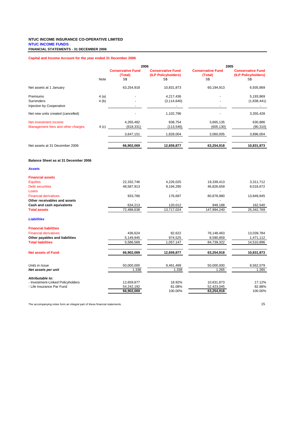#### **Capital and Income Account for the year ended 31 December 2006**

|                                                            |               | 2006                                       |                                                        | 2005                                       |                                                        |
|------------------------------------------------------------|---------------|--------------------------------------------|--------------------------------------------------------|--------------------------------------------|--------------------------------------------------------|
|                                                            | Note          | <b>Conservative Fund</b><br>(Total)<br>S\$ | <b>Conservative Fund</b><br>(ILP Policyholders)<br>S\$ | <b>Conservative Fund</b><br>(Total)<br>S\$ | <b>Conservative Fund</b><br>(ILP Policyholders)<br>S\$ |
| Net assets at 1 January                                    |               | 63,254,918                                 | 10,831,873                                             | 60,194,913                                 | 6,935,869                                              |
| Premiums<br>Surrenders<br>Injection by Cooperative         | 4 (a)<br>4(b) |                                            | 4,217,436<br>(3, 114, 640)                             |                                            | 5,193,869<br>(1,838,441)                               |
| Net new units created (cancelled)                          |               |                                            | 1,102,796                                              |                                            | 3,355,428                                              |
| Net investment income<br>Management fees and other charges | 4(c)          | 4.265.482<br>(618, 331)                    | 838,754<br>(113, 546)                                  | 3,665,135<br>(605, 130)                    | 630,886<br>(90, 310)                                   |
|                                                            |               | 3,647,151                                  | 1,828,004                                              | 3,060,005                                  | 3,896,004                                              |
| Net assets at 31 December 2006                             |               | 66,902,069                                 | 12,659,877                                             | 63,254,918                                 | 10,831,873                                             |
| Balance Sheet as at 31 December 2006                       |               |                                            |                                                        |                                            |                                                        |
| <b>Assets</b>                                              |               |                                            |                                                        |                                            |                                                        |
| <b>Financial assets</b>                                    |               |                                            |                                                        |                                            |                                                        |
| <b>Equities</b><br><b>Debt securities</b>                  |               | 22,332,746<br>48,587,913                   | 4,226,025<br>9,194,290                                 | 19,339,413<br>46,826,659                   | 3,311,712<br>8,018,672                                 |
| Loans<br><b>Financial derivatives</b>                      |               | 933,766                                    | 176,697                                                | 80,878,980                                 | 13,849,845                                             |
| Other receivables and assets<br>Cash and cash equivalents  |               | 634,213                                    | 120,012                                                | 949,188                                    | 162,540                                                |
| <b>Total assets</b>                                        |               | 72,488,638                                 | 13,717,024                                             | 147,994,240                                | 25,342,769                                             |
| <b>Liabilities</b>                                         |               |                                            |                                                        |                                            |                                                        |
| <b>Financial liabilities</b>                               |               |                                            |                                                        |                                            |                                                        |
| <b>Financial derivatives</b>                               |               | 436,624                                    | 82,622                                                 | 76,148,463                                 | 13,039,784                                             |
| Other payables and liabilities                             |               | 5,149,945                                  | 974,525                                                | 8,590,859                                  | 1,471,112                                              |
| <b>Total liabilities</b>                                   |               | 5,586,569                                  | 1,057,147                                              | 84,739,322                                 | 14,510,896                                             |
| <b>Net assets of Fund</b>                                  |               | 66,902,069                                 | 12,659,877                                             | 63,254,918                                 | 10,831,873                                             |
| Units in Issue                                             |               | 50,000,000                                 | 9,461,499                                              | 50,000,000                                 | 8,562,079                                              |
| Net assets per unit                                        |               | 1.338                                      | 1.338                                                  | 1.265                                      | 1.265                                                  |
| Attributable to:                                           |               |                                            |                                                        |                                            |                                                        |
| - Investment-Linked Policyholders                          |               | 12,659,877                                 | 18.92%                                                 | 10,831,873                                 | 17.12%                                                 |
| - Life Insurance Par Fund                                  |               | 54,242,192                                 | 81.08%                                                 | 52,423,045                                 | 82.88%                                                 |
|                                                            |               | 66,902,069                                 | 100.00%                                                | 63,254,918                                 | 100.00%                                                |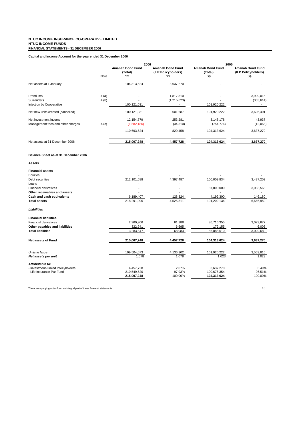**Capital and Income Account for the year ended 31 December 2006**

|                                                                |      | 2006                                      |                                                       | 2005                                      |                                                       |
|----------------------------------------------------------------|------|-------------------------------------------|-------------------------------------------------------|-------------------------------------------|-------------------------------------------------------|
|                                                                | Note | <b>Amanah Bond Fund</b><br>(Total)<br>S\$ | <b>Amanah Bond Fund</b><br>(ILP Policyholders)<br>S\$ | <b>Amanah Bond Fund</b><br>(Total)<br>S\$ | <b>Amanah Bond Fund</b><br>(ILP Policyholders)<br>S\$ |
| Net assets at 1 January                                        |      | 104,313,624                               | 3,637,270                                             |                                           |                                                       |
| Premiums                                                       | 4(a) |                                           | 1,817,310                                             |                                           | 3,909,015                                             |
| Surrenders<br>Injection by Cooperative                         | 4(b) | 100,121,031                               | (1,215,623)                                           | 101,920,222                               | (303, 614)                                            |
| Net new units created (cancelled)                              |      | 100,121,031                               | 601,687                                               | 101,920,222                               | 3,605,401                                             |
| Net investment income<br>Management fees and other charges     | 4(c) | 12,154,779<br>(1,582,186)                 | 253,281<br>(34, 510)                                  | 3,148,178<br>(754, 776)                   | 43,937<br>(12,068)                                    |
|                                                                |      | 110,693,624                               | 820,458                                               | 104,313,624                               | 3,637,270                                             |
| Net assets at 31 December 2006                                 |      | 215,007,248                               | 4,457,728                                             | 104,313,624                               | 3,637,270                                             |
| Balance Sheet as at 31 December 2006                           |      |                                           |                                                       |                                           |                                                       |
| Assets                                                         |      |                                           |                                                       |                                           |                                                       |
| <b>Financial assets</b><br>Equities                            |      |                                           |                                                       |                                           |                                                       |
| Debt securities                                                |      | 212,101,688                               | 4,397,487                                             | 100,009,834                               | 3,487,202                                             |
| Loans<br><b>Financial derivatives</b>                          |      |                                           |                                                       | 87,000,000                                | 3,033,568                                             |
| Other receivables and assets<br>Cash and cash equivalents      |      | 6,189,407                                 | 128,324                                               | 4,192,300                                 | 146,180                                               |
| <b>Total assets</b>                                            |      | 218,291,095                               | 4,525,811                                             | 191,202,134                               | 6,666,950                                             |
| Liabilities                                                    |      |                                           |                                                       |                                           |                                                       |
| <b>Financial liabilities</b><br><b>Financial derivatives</b>   |      | 2,960,906                                 | 61,388                                                | 86,716,355                                | 3,023,677                                             |
| Other payables and liabilities                                 |      | 322,941                                   | 6,695                                                 | 172,155                                   | 6,003                                                 |
| <b>Total liabilities</b>                                       |      | 3,283,847                                 | 68,083                                                | 86,888,510                                | 3,029,680                                             |
| Net assets of Fund                                             |      | 215,007,248                               | 4,457,728                                             | 104,313,624                               | 3,637,270                                             |
| Units in Issue                                                 |      | 199,504,073                               | 4,136,302                                             | 101,920,222                               | 3,553,815                                             |
| Net assets per unit                                            |      | 1.078                                     | 1.078                                                 | 1.023                                     | 1.023                                                 |
| Attributable to:                                               |      |                                           | 2.07%                                                 |                                           | 3.49%                                                 |
| - Investment-Linked Policyholders<br>- Life Insurance Par Fund |      | 4,457,728<br>210,549,520                  | 97.93%                                                | 3,637,270<br>100,676,354                  | 96.51%                                                |
|                                                                |      | 215,007,248                               | 100.00%                                               | 104,313,624                               | 100.00%                                               |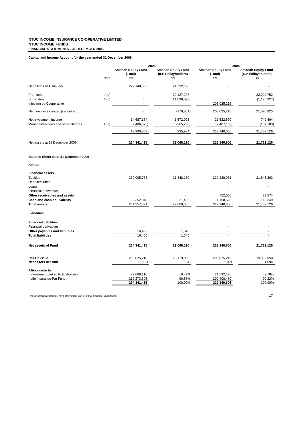**Capital and Income Account for the year ended 31 December 2006**

|                                                                                                                                                                                     |               | 2006                                        |                                                         | 2005                                               |                                                         |
|-------------------------------------------------------------------------------------------------------------------------------------------------------------------------------------|---------------|---------------------------------------------|---------------------------------------------------------|----------------------------------------------------|---------------------------------------------------------|
|                                                                                                                                                                                     | Note          | <b>Amanah Equity Fund</b><br>(Total)<br>S\$ | <b>Amanah Equity Fund</b><br>(ILP Policyholders)<br>S\$ | <b>Amanah Equity Fund</b><br>(Total)<br>S\$        | <b>Amanah Equity Fund</b><br>(ILP Policyholders)<br>S\$ |
| Net assets at 1 January                                                                                                                                                             |               | 222,140,606                                 | 21,732,126                                              |                                                    |                                                         |
| Premiums<br>Surrenders<br>Injection by Cooperative                                                                                                                                  | 4 (a)<br>4(b) |                                             | 10,127,297<br>(11,098,098)<br>$\overline{\phantom{a}}$  | 203,025,218                                        | 22,294,752<br>(1, 195, 927)<br>$\sim$                   |
| Net new units created (cancelled)                                                                                                                                                   |               |                                             | (970, 801)                                              | 203,025,218                                        | 21,098,825                                              |
| Net investment income<br>Management fees and other charges                                                                                                                          | 4 (c)         | 14,687,184<br>(2,486,375)                   | 1,572,023<br>(265, 238)                                 | 21,522,570<br>(2,407,182)                          | 740,404<br>(107, 103)                                   |
|                                                                                                                                                                                     |               | 12,200,809                                  | 335,984                                                 | 222,140,606                                        | 21,732,126                                              |
| Net assets at 31 December 2006                                                                                                                                                      |               | 234,341,415                                 | 22,068,110                                              | 222,140,606                                        | 21,732,126                                              |
| Balance Sheet as at 31 December 2006                                                                                                                                                |               |                                             |                                                         |                                                    |                                                         |
| Assets                                                                                                                                                                              |               |                                             |                                                         |                                                    |                                                         |
| <b>Financial assets</b><br>Equities<br>Debt securities<br>Loans<br><b>Financial derivatives</b><br>Other receivables and assets<br>Cash and cash equivalents<br><b>Total assets</b> |               | 232,005,773<br>2,352,048<br>234,357,821     | 21,848,160<br>221,495<br>22,069,655                     | 220,229,931<br>752,050<br>1,158,625<br>222,140,606 | 21,545,203<br>73,574<br>113,349<br>21,732,126           |
| Liabilities                                                                                                                                                                         |               |                                             |                                                         |                                                    |                                                         |
| <b>Financial liabilities</b><br><b>Financial derivatives</b><br>Other payables and liabilities<br><b>Total liabilities</b>                                                          |               | 16,406<br>16,406                            | 1,545<br>1,545                                          | $\overline{a}$                                     |                                                         |
| Net assets of Fund                                                                                                                                                                  |               | 234,341,415                                 | 22,068,110                                              | 222,140,606                                        | 21,732,126                                              |
| Units in Issue<br>Net assets per unit                                                                                                                                               |               | 203,025,218<br>1.154                        | 19,119,039<br>1.154                                     | 203,025,218<br>1.094                               | 19,862,058<br>1.094                                     |
| Attributable to:<br>- Investment-Linked Policyholders<br>- Life Insurance Par Fund                                                                                                  |               | 22,068,110<br>212,273,305<br>234,341,415    | 9.42%<br>90.58%<br>100.00%                              | 21,732,126<br>200,408,480<br>222,140,606           | 9.78%<br>90.22%<br>100.00%                              |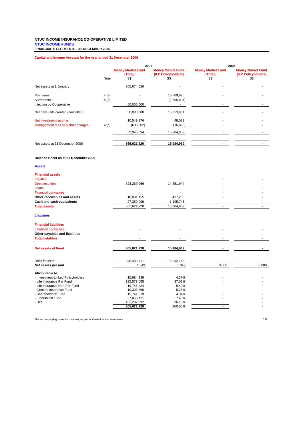#### **Capital and Income Account for the year ended 31 December 2006**

|                                            |      | 2006                                       |                                                        |                                            | 2005                                                   |
|--------------------------------------------|------|--------------------------------------------|--------------------------------------------------------|--------------------------------------------|--------------------------------------------------------|
|                                            | Note | <b>Money Market Fund</b><br>(Total)<br>S\$ | <b>Money Market Fund</b><br>(ILP Policyholders)<br>S\$ | <b>Money Market Fund</b><br>(Total)<br>S\$ | <b>Money Market Fund</b><br>(ILP Policyholders)<br>S\$ |
| Net assets at 1 January                    |      | 305,674,626                                |                                                        |                                            |                                                        |
| Premiums                                   | 4(a) |                                            | 18,609,695                                             |                                            |                                                        |
| Surrenders                                 | 4(b) |                                            | (2,655,894)                                            |                                            |                                                        |
| Injection by Cooperative                   |      | 50,000,000                                 |                                                        |                                            |                                                        |
| Net new units created (cancelled)          |      | 50,000,000                                 | 15,953,801                                             |                                            |                                                        |
| Net investment income                      |      | 10,549,976                                 | 48,033                                                 |                                            |                                                        |
| Management fees and other charges          | 4(c) | (603, 382)                                 | (16, 895)                                              |                                            |                                                        |
|                                            |      | 59,946,594                                 | 15,984,939                                             |                                            |                                                        |
| Net assets at 31 December 2006             |      | 365,621,220                                | 15,984,939                                             |                                            |                                                        |
| Balance Sheet as at 31 December 2006       |      |                                            |                                                        |                                            |                                                        |
| Assets                                     |      |                                            |                                                        |                                            |                                                        |
| <b>Financial assets</b>                    |      |                                            |                                                        |                                            |                                                        |
| <b>Equities</b>                            |      |                                            |                                                        |                                            |                                                        |
| <b>Debt securities</b>                     |      | 328,269,966                                | 14,351,944                                             |                                            |                                                        |
| Loans                                      |      |                                            |                                                        |                                            |                                                        |
| <b>Financial derivatives</b>               |      |                                            |                                                        |                                            |                                                        |
| Other receivables and assets               |      | 10,001,155                                 | 437,250                                                |                                            |                                                        |
| Cash and cash equivalents                  |      | 27,350,099                                 | 1,195,745                                              |                                            |                                                        |
| <b>Total assets</b>                        |      | 365,621,220                                | 15,984,939                                             |                                            |                                                        |
| <b>Liabilities</b>                         |      |                                            |                                                        |                                            |                                                        |
| <b>Financial liabilities</b>               |      |                                            |                                                        |                                            |                                                        |
| <b>Financial derivatives</b>               |      |                                            |                                                        |                                            |                                                        |
| Other payables and liabilities             |      |                                            |                                                        |                                            |                                                        |
| <b>Total liabilities</b>                   |      | ÷.                                         | ÷,                                                     | $\overline{a}$                             |                                                        |
| <b>Net assets of Fund</b>                  |      | 365,621,220                                | 15,984,939                                             |                                            |                                                        |
|                                            |      |                                            |                                                        |                                            |                                                        |
| Units in Issue                             |      | 348,402,711                                | 15,232,146                                             |                                            |                                                        |
| Net assets per unit                        |      | 1.049                                      | 1.049                                                  | 0.000                                      | 0.000                                                  |
| Attributable to:                           |      |                                            |                                                        |                                            |                                                        |
| - Investment-Linked Policyholders          |      | 15,984,939                                 | 4.37%                                                  |                                            |                                                        |
| - Life Insurance Par Fund                  |      | 135,579,055                                | 37.08%                                                 |                                            |                                                        |
| - Life Insurance Non-Par Fund              |      | 19,746,234                                 | 5.40%                                                  |                                            |                                                        |
| - General Insurance Fund                   |      | 19,303,860                                 | 5.28%                                                  |                                            |                                                        |
| - Shareholders' Fund<br>- Eldershield Fund |      | 15,741,319                                 | 4.31%                                                  |                                            |                                                        |
| - DPS                                      |      | 27,063,121                                 | 7.40%                                                  |                                            |                                                        |
|                                            |      | 132,202,692<br>365,621,220                 | 36.16%<br>100.00%                                      |                                            |                                                        |
|                                            |      |                                            |                                                        |                                            |                                                        |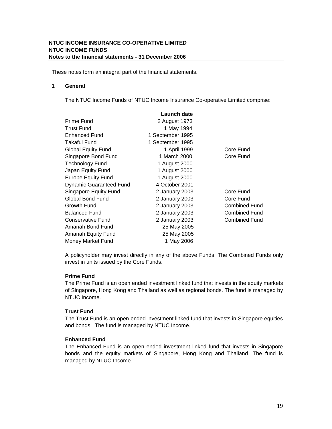These notes form an integral part of the financial statements.

#### **1 General**

The NTUC Income Funds of NTUC Income Insurance Co-operative Limited comprise:

|                           | Launch date      |                      |
|---------------------------|------------------|----------------------|
| Prime Fund                | 2 August 1973    |                      |
| <b>Trust Fund</b>         | 1 May 1994       |                      |
| Enhanced Fund             | 1 September 1995 |                      |
| Takaful Fund              | 1 September 1995 |                      |
| <b>Global Equity Fund</b> | 1 April 1999     | Core Fund            |
| Singapore Bond Fund       | 1 March 2000     | Core Fund            |
| Technology Fund           | 1 August 2000    |                      |
| Japan Equity Fund         | 1 August 2000    |                      |
| <b>Europe Equity Fund</b> | 1 August 2000    |                      |
| Dynamic Guaranteed Fund   | 4 October 2001   |                      |
| Singapore Equity Fund     | 2 January 2003   | Core Fund            |
| Global Bond Fund          | 2 January 2003   | Core Fund            |
| Growth Fund               | 2 January 2003   | <b>Combined Fund</b> |
| <b>Balanced Fund</b>      | 2 January 2003   | <b>Combined Fund</b> |
| Conservative Fund         | 2 January 2003   | <b>Combined Fund</b> |
| Amanah Bond Fund          | 25 May 2005      |                      |
| Amanah Equity Fund        | 25 May 2005      |                      |
| Money Market Fund         | 1 May 2006       |                      |

A policyholder may invest directly in any of the above Funds. The Combined Funds only invest in units issued by the Core Funds.

## **Prime Fund**

The Prime Fund is an open ended investment linked fund that invests in the equity markets of Singapore, Hong Kong and Thailand as well as regional bonds. The fund is managed by NTUC Income.

## **Trust Fund**

The Trust Fund is an open ended investment linked fund that invests in Singapore equities and bonds. The fund is managed by NTUC Income.

## **Enhanced Fund**

The Enhanced Fund is an open ended investment linked fund that invests in Singapore bonds and the equity markets of Singapore, Hong Kong and Thailand. The fund is managed by NTUC Income.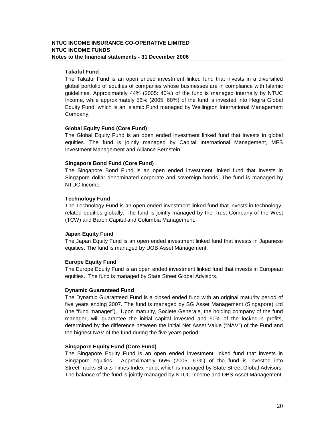## **Takaful Fund**

The Takaful Fund is an open ended investment linked fund that invests in a diversified global portfolio of equities of companies whose businesses are in compliance with Islamic guidelines. Approximately 44% (2005: 40%) of the fund is managed internally by NTUC Income, while approximately 56% (2005: 60%) of the fund is invested into Hegira Global Equity Fund, which is an Islamic Fund managed by Wellington International Management Company.

## **Global Equity Fund (Core Fund)**

The Global Equity Fund is an open ended investment linked fund that invests in global equities. The fund is jointly managed by Capital International Management, MFS Investment Management and Alliance Bernstein.

## **Singapore Bond Fund (Core Fund)**

The Singapore Bond Fund is an open ended investment linked fund that invests in Singapore dollar denominated corporate and sovereign bonds. The fund is managed by NTUC Income.

## **Technology Fund**

The Technology Fund is an open ended investment linked fund that invests in technologyrelated equities globally. The fund is jointly managed by the Trust Company of the West (TCW) and Baron Capital and Columbia Management.

## **Japan Equity Fund**

The Japan Equity Fund is an open ended investment linked fund that invests in Japanese equities. The fund is managed by UOB Asset Management.

## **Europe Equity Fund**

The Europe Equity Fund is an open ended investment linked fund that invests in European equities. The fund is managed by State Street Global Advisors.

## **Dynamic Guaranteed Fund**

The Dynamic Guaranteed Fund is a closed ended fund with an original maturity period of five years ending 2007. The fund is managed by SG Asset Management (Singapore) Ltd (the "fund manager"). Upon maturity, Societe Generale, the holding company of the fund manager, will guarantee the initial capital invested and 50% of the locked-in profits, determined by the difference between the initial Net Asset Value ("NAV") of the Fund and the highest NAV of the fund during the five years period.

## **Singapore Equity Fund (Core Fund)**

The Singapore Equity Fund is an open ended investment linked fund that invests in Singapore equities. Approximately 65% (2005: 67%) of the fund is invested into StreetTracks Straits Times Index Fund, which is managed by State Street Global Advisors. The balance of the fund is jointly managed by NTUC Income and DBS Asset Management.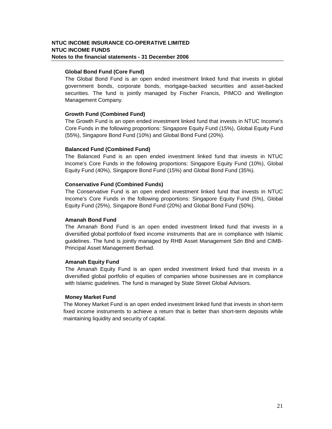## **Global Bond Fund (Core Fund)**

The Global Bond Fund is an open ended investment linked fund that invests in global government bonds, corporate bonds, mortgage-backed securities and asset-backed securities. The fund is jointly managed by Fischer Francis, PIMCO and Wellington Management Company.

## **Growth Fund (Combined Fund)**

The Growth Fund is an open ended investment linked fund that invests in NTUC Income's Core Funds in the following proportions: Singapore Equity Fund (15%), Global Equity Fund (55%), Singapore Bond Fund (10%) and Global Bond Fund (20%).

## **Balanced Fund (Combined Fund)**

The Balanced Fund is an open ended investment linked fund that invests in NTUC Income's Core Funds in the following proportions: Singapore Equity Fund (10%), Global Equity Fund (40%), Singapore Bond Fund (15%) and Global Bond Fund (35%).

## **Conservative Fund (Combined Funds)**

The Conservative Fund is an open ended investment linked fund that invests in NTUC Income's Core Funds in the following proportions: Singapore Equity Fund (5%), Global Equity Fund (25%), Singapore Bond Fund (20%) and Global Bond Fund (50%).

## **Amanah Bond Fund**

The Amanah Bond Fund is an open ended investment linked fund that invests in a diversified global portfolioof fixed income instruments that are in compliance with Islamic guidelines. The fund is jointly managed by RHB Asset Management Sdn Bhd and CIMB-Principal Asset Management Berhad.

## **Amanah Equity Fund**

The Amanah Equity Fund is an open ended investment linked fund that invests in a diversified global portfolio of equities of companies whose businesses are in compliance with Islamic guidelines. The fund is managed by State Street Global Advisors.

## **Money Market Fund**

The Money Market Fund is an open ended investment linked fund that invests in short-term fixed income instruments to achieve a return that is better than short-term deposits while maintaining liquidity and security of capital.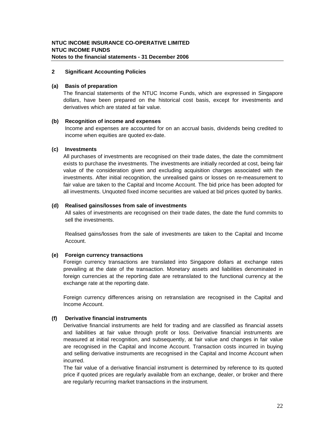## **2 Significant Accounting Policies**

#### **(a) Basis of preparation**

The financial statements of the NTUC Income Funds, which are expressed in Singapore dollars, have been prepared on the historical cost basis, except for investments and derivatives which are stated at fair value.

#### **(b) Recognition of income and expenses**

Income and expenses are accounted for on an accrual basis, dividends being credited to income when equities are quoted ex-date.

## **(c) Investments**

All purchases of investments are recognised on their trade dates, the date the commitment exists to purchase the investments. The investments are initially recorded at cost, being fair value of the consideration given and excluding acquisition charges associated with the investments. After initial recognition, the unrealised gains or losses on re-measurement to fair value are taken to the Capital and Income Account. The bid price has been adopted for all investments. Unquoted fixed income securities are valued at bid prices quoted by banks.

#### **(d) Realised gains/losses from sale of investments**

All sales of investments are recognised on their trade dates, the date the fund commits to sell the investments.

Realised gains/losses from the sale of investments are taken to the Capital and Income Account.

## **(e) Foreign currency transactions**

Foreign currency transactions are translated into Singapore dollars at exchange rates prevailing at the date of the transaction. Monetary assets and liabilities denominated in foreign currencies at the reporting date are retranslated to the functional currency at the exchange rate at the reporting date.

Foreign currency differences arising on retranslation are recognised in the Capital and Income Account.

## **(f) Derivative financial instruments**

Derivative financial instruments are held for trading and are classified as financial assets and liabilities at fair value through profit or loss. Derivative financial instruments are measured at initial recognition, and subsequently, at fair value and changes in fair value are recognised in the Capital and Income Account. Transaction costs incurred in buying and selling derivative instruments are recognised in the Capital and Income Account when incurred.

The fair value of a derivative financial instrument is determined by reference to its quoted price if quoted prices are regularly available from an exchange, dealer, or broker and there are regularly recurring market transactions in the instrument.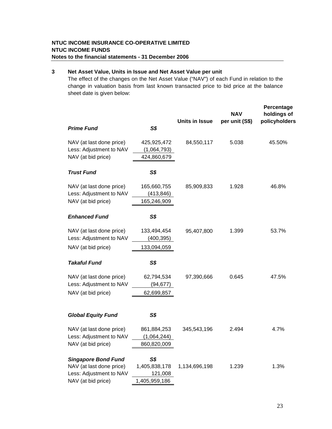## **3 Net Asset Value, Units in Issue and Net Asset Value per unit**

The effect of the changes on the Net Asset Value ("NAV") of each Fund in relation to the change in valuation basis from last known transacted price to bid price at the balance sheet date is given below:

| <b>Prime Fund</b>                                                                                       | S\$                                              | <b>Units in Issue</b> | <b>NAV</b><br>per unit (S\$) | Percentage<br>holdings of<br>policyholders |
|---------------------------------------------------------------------------------------------------------|--------------------------------------------------|-----------------------|------------------------------|--------------------------------------------|
| NAV (at last done price)<br>Less: Adjustment to NAV<br>NAV (at bid price)                               | 425,925,472<br>(1,064,793)<br>424,860,679        | 84,550,117            | 5.038                        | 45.50%                                     |
| Trust Fund                                                                                              | S\$                                              |                       |                              |                                            |
| NAV (at last done price)<br>Less: Adjustment to NAV<br>NAV (at bid price)                               | 165,660,755<br>(413, 846)<br>165,246,909         | 85,909,833            | 1.928                        | 46.8%                                      |
| <b>Enhanced Fund</b>                                                                                    | S\$                                              |                       |                              |                                            |
| NAV (at last done price)<br>Less: Adjustment to NAV                                                     | 133,494,454<br>(400, 395)                        | 95,407,800            | 1.399                        | 53.7%                                      |
| NAV (at bid price)                                                                                      | 133,094,059                                      |                       |                              |                                            |
| <b>Takaful Fund</b>                                                                                     | S\$                                              |                       |                              |                                            |
| NAV (at last done price)<br>Less: Adjustment to NAV<br>NAV (at bid price)                               | 62,794,534<br>(94, 677)<br>62,699,857            | 97,390,666            | 0.645                        | 47.5%                                      |
| <b>Global Equity Fund</b>                                                                               | S\$                                              |                       |                              |                                            |
| NAV (at last done price)<br>Less: Adjustment to NAV<br>NAV (at bid price)                               | 861,884,253<br>(1,064,244)<br>860,820,009        | 345,543,196           | 2.494                        | 4.7%                                       |
| <b>Singapore Bond Fund</b><br>NAV (at last done price)<br>Less: Adjustment to NAV<br>NAV (at bid price) | S\$<br>1,405,838,178<br>121,008<br>1,405,959,186 | 1,134,696,198         | 1.239                        | 1.3%                                       |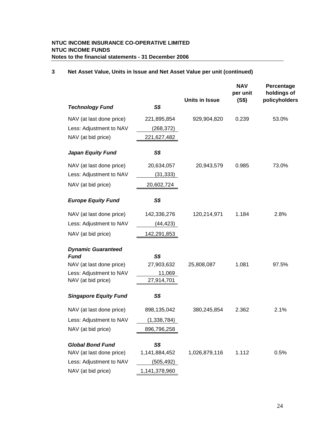## **3 Net Asset Value, Units in Issue and Net Asset Value per unit (continued)**

| <b>Technology Fund</b>                        | S\$                  | <b>Units in Issue</b> | <b>NAV</b><br>per unit<br>(S\$) | Percentage<br>holdings of<br>policyholders |
|-----------------------------------------------|----------------------|-----------------------|---------------------------------|--------------------------------------------|
| NAV (at last done price)                      | 221,895,854          | 929,904,820           | 0.239                           | 53.0%                                      |
| Less: Adjustment to NAV                       | (268, 372)           |                       |                                 |                                            |
| NAV (at bid price)                            | 221,627,482          |                       |                                 |                                            |
| <b>Japan Equity Fund</b>                      | S\$                  |                       |                                 |                                            |
| NAV (at last done price)                      | 20,634,057           | 20,943,579            | 0.985                           | 73.0%                                      |
| Less: Adjustment to NAV                       | (31, 333)            |                       |                                 |                                            |
| NAV (at bid price)                            | 20,602,724           |                       |                                 |                                            |
| <b>Europe Equity Fund</b>                     | S\$                  |                       |                                 |                                            |
| NAV (at last done price)                      | 142,336,276          | 120,214,971           | 1.184                           | 2.8%                                       |
| Less: Adjustment to NAV                       | (44, 423)            |                       |                                 |                                            |
| NAV (at bid price)                            | 142,291,853          |                       |                                 |                                            |
| <b>Dynamic Guaranteed</b>                     |                      |                       |                                 |                                            |
| <b>Fund</b>                                   | S <sub>s</sub>       |                       |                                 |                                            |
| NAV (at last done price)                      | 27,903,632           | 25,808,087            | 1.081                           | 97.5%                                      |
| Less: Adjustment to NAV<br>NAV (at bid price) | 11,069<br>27,914,701 |                       |                                 |                                            |
|                                               |                      |                       |                                 |                                            |
| <b>Singapore Equity Fund</b>                  | S\$                  |                       |                                 |                                            |
| NAV (at last done price)                      | 898,135,042          | 380,245,854           | 2.362                           | 2.1%                                       |
| Less: Adjustment to NAV                       | (1,338,784)          |                       |                                 |                                            |
| NAV (at bid price)                            | 896,796,258          |                       |                                 |                                            |
| <b>Global Bond Fund</b>                       | S\$                  |                       |                                 |                                            |
| NAV (at last done price)                      | 1,141,884,452        | 1,026,879,116         | 1.112                           | 0.5%                                       |
| Less: Adjustment to NAV                       | (505, 492)           |                       |                                 |                                            |
| NAV (at bid price)                            | 1,141,378,960        |                       |                                 |                                            |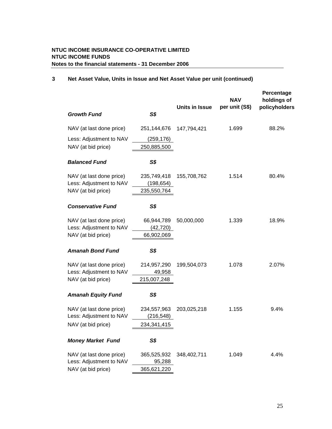## **3 Net Asset Value, Units in Issue and Net Asset Value per unit (continued)**

| <b>Growth Fund</b>        | S\$         | <b>Units in Issue</b> | <b>NAV</b><br>per unit (S\$) | Percentage<br>holdings of<br>policyholders |
|---------------------------|-------------|-----------------------|------------------------------|--------------------------------------------|
| NAV (at last done price)  | 251,144,676 | 147,794,421           | 1.699                        | 88.2%                                      |
| Less: Adjustment to NAV   | (259, 176)  |                       |                              |                                            |
| NAV (at bid price)        | 250,885,500 |                       |                              |                                            |
| <b>Balanced Fund</b>      | S\$         |                       |                              |                                            |
| NAV (at last done price)  | 235,749,418 | 155,708,762           | 1.514                        | 80.4%                                      |
| Less: Adjustment to NAV   | (198, 654)  |                       |                              |                                            |
| NAV (at bid price)        | 235,550,764 |                       |                              |                                            |
| <b>Conservative Fund</b>  | S\$         |                       |                              |                                            |
| NAV (at last done price)  | 66,944,789  | 50,000,000            | 1.339                        | 18.9%                                      |
| Less: Adjustment to NAV   | (42, 720)   |                       |                              |                                            |
| NAV (at bid price)        | 66,902,069  |                       |                              |                                            |
| <b>Amanah Bond Fund</b>   | S\$         |                       |                              |                                            |
| NAV (at last done price)  | 214,957,290 | 199,504,073           | 1.078                        | 2.07%                                      |
| Less: Adjustment to NAV   | 49,958      |                       |                              |                                            |
| NAV (at bid price)        | 215,007,248 |                       |                              |                                            |
| <b>Amanah Equity Fund</b> | S\$         |                       |                              |                                            |
| NAV (at last done price)  | 234,557,963 | 203,025,218           | 1.155                        | 9.4%                                       |
| Less: Adjustment to NAV   | (216, 548)  |                       |                              |                                            |
| NAV (at bid price)        | 234,341,415 |                       |                              |                                            |
| <b>Money Market Fund</b>  | S\$         |                       |                              |                                            |
| NAV (at last done price)  | 365,525,932 | 348,402,711           | 1.049                        | 4.4%                                       |
| Less: Adjustment to NAV   | 95,288      |                       |                              |                                            |
| NAV (at bid price)        | 365,621,220 |                       |                              |                                            |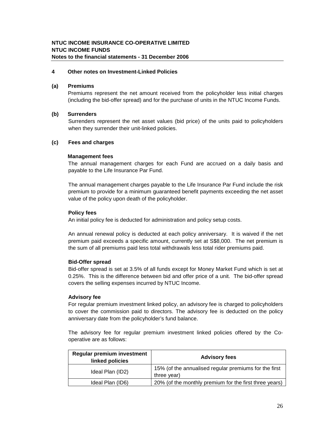## **4 Other notes on Investment-Linked Policies**

## **(a) Premiums**

Premiums represent the net amount received from the policyholder less initial charges (including the bid-offer spread) and for the purchase of units in the NTUC Income Funds.

## **(b) Surrenders**

Surrenders represent the net asset values (bid price) of the units paid to policyholders when they surrender their unit-linked policies.

## **(c) Fees and charges**

## **Management fees**

The annual management charges for each Fund are accrued on a daily basis and payable to the Life Insurance Par Fund.

The annual management charges payable to the Life Insurance Par Fund include the risk premium to provide for a minimum guaranteed benefit payments exceeding the net asset value of the policy upon death of the policyholder.

## **Policy fees**

An initial policy fee is deducted for administration and policy setup costs.

An annual renewal policy is deducted at each policy anniversary. It is waived if the net premium paid exceeds a specific amount, currently set at S\$8,000. The net premium is the sum of all premiums paid less total withdrawals less total rider premiums paid.

## **Bid-Offer spread**

Bid-offer spread is set at 3.5% of all funds except for Money Market Fund which is set at 0.25%. This is the difference between bid and offer price of a unit. The bid-offer spread covers the selling expenses incurred by NTUC Income.

## **Advisory fee**

For regular premium investment linked policy, an advisory fee is charged to policyholders to cover the commission paid to directors. The advisory fee is deducted on the policy anniversary date from the policyholder's fund balance.

The advisory fee for regular premium investment linked policies offered by the Cooperative are as follows:

| Regular premium investment<br>linked policies | <b>Advisory fees</b>                                                 |  |
|-----------------------------------------------|----------------------------------------------------------------------|--|
| Ideal Plan (ID2)                              | 15% (of the annualised regular premiums for the first<br>three year) |  |
| Ideal Plan (ID6)                              | 20% (of the monthly premium for the first three years)               |  |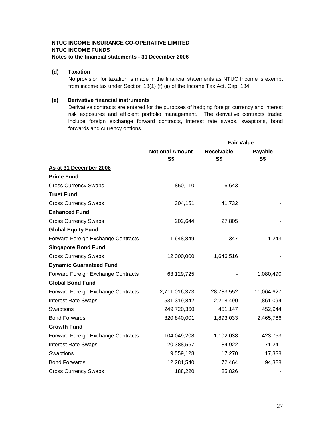## **(d) Taxation**

No provision for taxation is made in the financial statements as NTUC Income is exempt from income tax under Section 13(1) (f) (ii) of the Income Tax Act, Cap. 134.

## **(e) Derivative financial instruments**

Derivative contracts are entered for the purposes of hedging foreign currency and interest risk exposures and efficient portfolio management. The derivative contracts traded include foreign exchange forward contracts, interest rate swaps, swaptions, bond forwards and currency options.

|                                    |                                      | <b>Fair Value</b>               |                       |
|------------------------------------|--------------------------------------|---------------------------------|-----------------------|
|                                    | <b>Notional Amount</b><br><b>S\$</b> | <b>Receivable</b><br><b>S\$</b> | Payable<br><b>S\$</b> |
| As at 31 December 2006             |                                      |                                 |                       |
| <b>Prime Fund</b>                  |                                      |                                 |                       |
| <b>Cross Currency Swaps</b>        | 850,110                              | 116,643                         |                       |
| <b>Trust Fund</b>                  |                                      |                                 |                       |
| <b>Cross Currency Swaps</b>        | 304,151                              | 41,732                          |                       |
| <b>Enhanced Fund</b>               |                                      |                                 |                       |
| <b>Cross Currency Swaps</b>        | 202,644                              | 27,805                          |                       |
| <b>Global Equity Fund</b>          |                                      |                                 |                       |
| Forward Foreign Exchange Contracts | 1,648,849                            | 1,347                           | 1,243                 |
| <b>Singapore Bond Fund</b>         |                                      |                                 |                       |
| <b>Cross Currency Swaps</b>        | 12,000,000                           | 1,646,516                       |                       |
| <b>Dynamic Guaranteed Fund</b>     |                                      |                                 |                       |
| Forward Foreign Exchange Contracts | 63,129,725                           |                                 | 1,080,490             |
| <b>Global Bond Fund</b>            |                                      |                                 |                       |
| Forward Foreign Exchange Contracts | 2,711,016,373                        | 28,783,552                      | 11,064,627            |
| <b>Interest Rate Swaps</b>         | 531,319,842                          | 2,218,490                       | 1,861,094             |
| Swaptions                          | 249,720,360                          | 451,147                         | 452,944               |
| <b>Bond Forwards</b>               | 320,840,001                          | 1,893,033                       | 2,465,766             |
| <b>Growth Fund</b>                 |                                      |                                 |                       |
| Forward Foreign Exchange Contracts | 104,049,208                          | 1,102,038                       | 423,753               |
| <b>Interest Rate Swaps</b>         | 20,388,567                           | 84,922                          | 71,241                |
| Swaptions                          | 9,559,128                            | 17,270                          | 17,338                |
| <b>Bond Forwards</b>               | 12,281,540                           | 72,464                          | 94,388                |
| <b>Cross Currency Swaps</b>        | 188,220                              | 25,826                          |                       |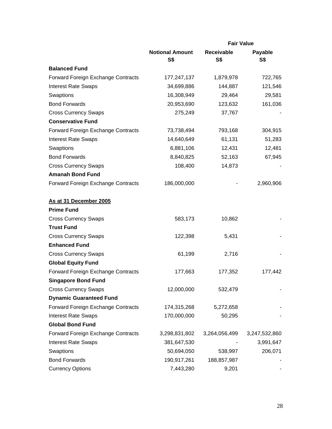|                                    |                                      |                                 | <b>Fair Value</b>     |  |
|------------------------------------|--------------------------------------|---------------------------------|-----------------------|--|
|                                    | <b>Notional Amount</b><br><b>S\$</b> | <b>Receivable</b><br><b>S\$</b> | Payable<br><b>S\$</b> |  |
| <b>Balanced Fund</b>               |                                      |                                 |                       |  |
| Forward Foreign Exchange Contracts | 177,247,137                          | 1,879,978                       | 722,765               |  |
| <b>Interest Rate Swaps</b>         | 34,699,886                           | 144,887                         | 121,546               |  |
| Swaptions                          | 16,308,949                           | 29,464                          | 29,581                |  |
| <b>Bond Forwards</b>               | 20,953,690                           | 123,632                         | 161,036               |  |
| <b>Cross Currency Swaps</b>        | 275,249                              | 37,767                          |                       |  |
| <b>Conservative Fund</b>           |                                      |                                 |                       |  |
| Forward Foreign Exchange Contracts | 73,738,494                           | 793,168                         | 304,915               |  |
| <b>Interest Rate Swaps</b>         | 14,640,649                           | 61,131                          | 51,283                |  |
| Swaptions                          | 6,881,106                            | 12,431                          | 12,481                |  |
| <b>Bond Forwards</b>               | 8,840,825                            | 52,163                          | 67,945                |  |
| <b>Cross Currency Swaps</b>        | 108,400                              | 14,873                          |                       |  |
| <b>Amanah Bond Fund</b>            |                                      |                                 |                       |  |
| Forward Foreign Exchange Contracts | 186,000,000                          |                                 | 2,960,906             |  |
| As at 31 December 2005             |                                      |                                 |                       |  |
| <b>Prime Fund</b>                  |                                      |                                 |                       |  |
| <b>Cross Currency Swaps</b>        | 583,173                              | 10,862                          |                       |  |
| <b>Trust Fund</b>                  |                                      |                                 |                       |  |
| <b>Cross Currency Swaps</b>        | 122,398                              | 5,431                           |                       |  |
| <b>Enhanced Fund</b>               |                                      |                                 |                       |  |
| <b>Cross Currency Swaps</b>        | 61,199                               | 2,716                           |                       |  |
| <b>Global Equity Fund</b>          |                                      |                                 |                       |  |
| Forward Foreign Exchange Contracts | 177,663                              | 177,352                         | 177,442               |  |
| <b>Singapore Bond Fund</b>         |                                      |                                 |                       |  |
| <b>Cross Currency Swaps</b>        | 12,000,000                           | 532,479                         |                       |  |
| <b>Dynamic Guaranteed Fund</b>     |                                      |                                 |                       |  |
| Forward Foreign Exchange Contracts | 174,315,268                          | 5,272,658                       |                       |  |
| <b>Interest Rate Swaps</b>         | 170,000,000                          | 50,295                          |                       |  |
| <b>Global Bond Fund</b>            |                                      |                                 |                       |  |
| Forward Foreign Exchange Contracts | 3,298,831,802                        | 3,264,056,499                   | 3,247,532,860         |  |
| <b>Interest Rate Swaps</b>         | 381,647,530                          |                                 | 3,991,647             |  |
| Swaptions                          | 50,694,050                           | 538,997                         | 206,071               |  |
| <b>Bond Forwards</b>               | 190,917,261                          | 188,857,987                     |                       |  |
| <b>Currency Options</b>            | 7,443,280                            | 9,201                           |                       |  |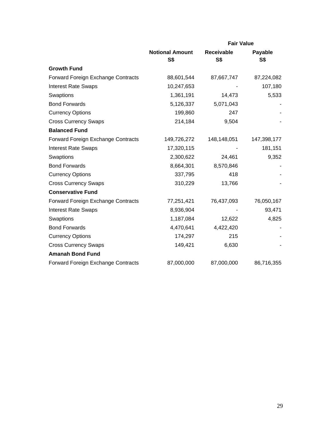|                                    |                                      | <b>Fair Value</b>               |                       |
|------------------------------------|--------------------------------------|---------------------------------|-----------------------|
|                                    | <b>Notional Amount</b><br><b>S\$</b> | <b>Receivable</b><br><b>S\$</b> | Payable<br><b>S\$</b> |
| <b>Growth Fund</b>                 |                                      |                                 |                       |
| Forward Foreign Exchange Contracts | 88,601,544                           | 87,667,747                      | 87,224,082            |
| <b>Interest Rate Swaps</b>         | 10,247,653                           |                                 | 107,180               |
| Swaptions                          | 1,361,191                            | 14,473                          | 5,533                 |
| <b>Bond Forwards</b>               | 5,126,337                            | 5,071,043                       |                       |
| <b>Currency Options</b>            | 199,860                              | 247                             |                       |
| <b>Cross Currency Swaps</b>        | 214,184                              | 9,504                           |                       |
| <b>Balanced Fund</b>               |                                      |                                 |                       |
| Forward Foreign Exchange Contracts | 149,726,272                          | 148,148,051                     | 147,398,177           |
| <b>Interest Rate Swaps</b>         | 17,320,115                           |                                 | 181,151               |
| Swaptions                          | 2,300,622                            | 24,461                          | 9,352                 |
| <b>Bond Forwards</b>               | 8,664,301                            | 8,570,846                       |                       |
| <b>Currency Options</b>            | 337,795                              | 418                             |                       |
| <b>Cross Currency Swaps</b>        | 310,229                              | 13,766                          |                       |
| <b>Conservative Fund</b>           |                                      |                                 |                       |
| Forward Foreign Exchange Contracts | 77,251,421                           | 76,437,093                      | 76,050,167            |
| <b>Interest Rate Swaps</b>         | 8,936,904                            |                                 | 93,471                |
| Swaptions                          | 1,187,084                            | 12,622                          | 4,825                 |
| <b>Bond Forwards</b>               | 4,470,641                            | 4,422,420                       |                       |
| <b>Currency Options</b>            | 174,297                              | 215                             |                       |
| <b>Cross Currency Swaps</b>        | 149,421                              | 6,630                           |                       |
| <b>Amanah Bond Fund</b>            |                                      |                                 |                       |
| Forward Foreign Exchange Contracts | 87,000,000                           | 87,000,000                      | 86,716,355            |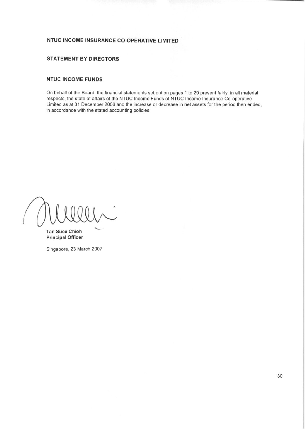## NTUC INCOME INSURANCE CO-OPERATIVE LIMITED

## **STATEMENT BY DIRECTORS**

## **NTUC INCOME FUNDS**

On behalf of the Board, the financial statements set out on pages 1 to 29 present fairly, in all material respects, the state of affairs of the NTUC Income Funds of NTUC Income Insurance Co-operative Limited as at 31 December 2006 and the increase or decrease in net assets for the period then ended, in accordance with the stated accounting policies.

**Tan Suee Chieh Principal Officer** 

Singapore, 23 March 2007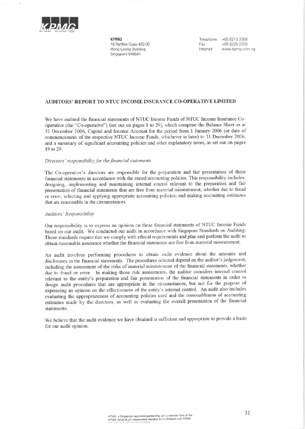

**KPMG** 16 Raffles Quay #22-00 Hong Leong Building Singapore 048581

Telephone +65 6213 3388 Fax +65 6225 2230 Internet www.kpmg.com.sq

#### AUDITORS' REPORT TO NTUC INCOME INSURANCE CO-OPERATIVE LIMITED

We have audited the financial statements of NTUC Income Funds of NTUC Income Insurance Cooperative (the "Co-operative") (set out on pages 1 to 29), which comprise the Balance Sheet as at 31 December 2006, Capital and Income Account for the period from 1 January 2006 (or date of commencement of the respective NTUC Income Funds, whichever is later) to 31 December 2006, and a summary of significant accounting policies and other explanatory notes, as set out on pages 19 to 29.

#### Directors' responsibility for the financial statements

The Co-operative's directors are responsible for the preparation and fair presentation of these financial statements in accordance with the stated accounting policies. This responsibility includes: designing, implementing and maintaining internal control relevant to the preparation and fair presentation of financial statements that are free from material misstatement, whether due to fraud or error; selecting and applying appropriate accounting policies; and making accounting estimates that are reasonable in the circumstances.

#### **Auditors' Responsibility**

Our responsibility is to express an opinion on these financial statements of NTUC Income Funds based on our audit. We conducted our audit in accordance with Singapore Standards on Auditing. Those standards require that we comply with ethical requirements and plan and perform the audit to obtain reasonable assurance whether the financial statements are free from material misstatement.

An audit involves performing procedures to obtain audit evidence about the amounts and disclosures in the financial statements. The procedures selected depend on the auditor's judgement, including the assessment of the risks of material misstatement of the financial statements, whether due to fraud or error. In making those risk assessments, the auditor considers internal control relevant to the entity's preparation and fair presentation of the financial statements in order to design audit procedures that are appropriate in the circumstances, but not for the purpose of expressing an opinion on the effectiveness of the entity's internal control. An audit also includes evaluating the appropriateness of accounting policies used and the reasonableness of accounting estimates made by the directors, as well as evaluating the overall presentation of the financial statements.

We believe that the audit evidence we have obtained is sufficient and appropriate to provide a basis for our audit opinion.